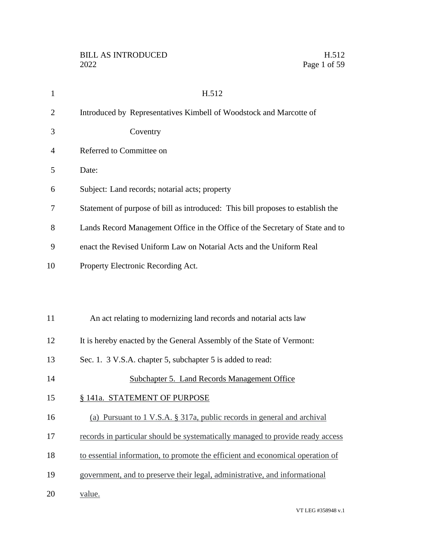| $\mathbf{1}$   | H.512                                                                           |
|----------------|---------------------------------------------------------------------------------|
| $\overline{2}$ | Introduced by Representatives Kimbell of Woodstock and Marcotte of              |
| 3              | Coventry                                                                        |
| 4              | Referred to Committee on                                                        |
| 5              | Date:                                                                           |
| 6              | Subject: Land records; notarial acts; property                                  |
| 7              | Statement of purpose of bill as introduced: This bill proposes to establish the |
| 8              | Lands Record Management Office in the Office of the Secretary of State and to   |
| 9              | enact the Revised Uniform Law on Notarial Acts and the Uniform Real             |
| 10             | Property Electronic Recording Act.                                              |
|                |                                                                                 |
|                |                                                                                 |
| 11             | An act relating to modernizing land records and notarial acts law               |
| 12             | It is hereby enacted by the General Assembly of the State of Vermont:           |
| 13             | Sec. 1. 3 V.S.A. chapter 5, subchapter 5 is added to read:                      |
| 14             | <b>Subchapter 5. Land Records Management Office</b>                             |
| 15             | § 141a. STATEMENT OF PURPOSE                                                    |
| 16             | (a) Pursuant to 1 V.S.A. § 317a, public records in general and archival         |
| 17             | records in particular should be systematically managed to provide ready access  |
| 18             | to essential information, to promote the efficient and economical operation of  |
| 19             | government, and to preserve their legal, administrative, and informational      |
| 20             | value.                                                                          |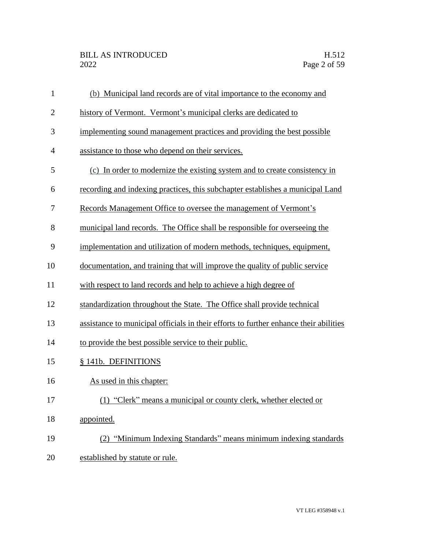| $\mathbf{1}$   | (b) Municipal land records are of vital importance to the economy and                 |
|----------------|---------------------------------------------------------------------------------------|
| $\overline{2}$ | history of Vermont. Vermont's municipal clerks are dedicated to                       |
| 3              | implementing sound management practices and providing the best possible               |
| $\overline{4}$ | assistance to those who depend on their services.                                     |
| 5              | (c) In order to modernize the existing system and to create consistency in            |
| 6              | recording and indexing practices, this subchapter establishes a municipal Land        |
| 7              | Records Management Office to oversee the management of Vermont's                      |
| 8              | municipal land records. The Office shall be responsible for overseeing the            |
| 9              | implementation and utilization of modern methods, techniques, equipment,              |
| 10             | documentation, and training that will improve the quality of public service           |
| 11             | with respect to land records and help to achieve a high degree of                     |
| 12             | standardization throughout the State. The Office shall provide technical              |
| 13             | assistance to municipal officials in their efforts to further enhance their abilities |
| 14             | to provide the best possible service to their public.                                 |
| 15             | § 141b. DEFINITIONS                                                                   |
| 16             | As used in this chapter:                                                              |
| 17             | (1) "Clerk" means a municipal or county clerk, whether elected or                     |
| 18             | appointed.                                                                            |
| 19             | (2) "Minimum Indexing Standards" means minimum indexing standards                     |
| 20             | established by statute or rule.                                                       |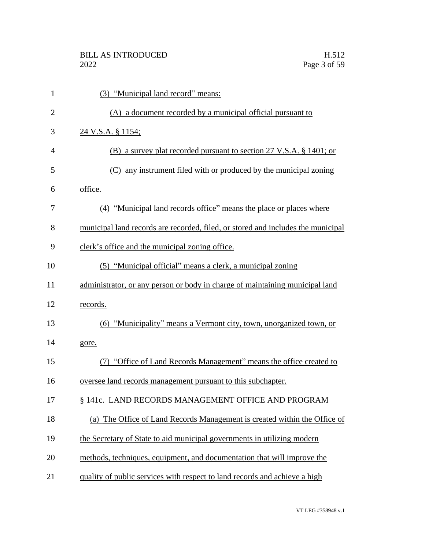| $\mathbf{1}$   | (3) "Municipal land record" means:                                               |
|----------------|----------------------------------------------------------------------------------|
| $\overline{2}$ | (A) a document recorded by a municipal official pursuant to                      |
| 3              | 24 V.S.A. § 1154;                                                                |
| 4              | (B) a survey plat recorded pursuant to section 27 V.S.A. § 1401; or              |
| 5              | (C) any instrument filed with or produced by the municipal zoning                |
| 6              | office.                                                                          |
| 7              | (4) "Municipal land records office" means the place or places where              |
| 8              | municipal land records are recorded, filed, or stored and includes the municipal |
| 9              | clerk's office and the municipal zoning office.                                  |
| 10             | (5) "Municipal official" means a clerk, a municipal zoning                       |
| 11             | administrator, or any person or body in charge of maintaining municipal land     |
| 12             | records.                                                                         |
| 13             | "Municipality" means a Vermont city, town, unorganized town, or<br>(6)           |
| 14             | gore.                                                                            |
| 15             | (7) "Office of Land Records Management" means the office created to              |
| 16             | oversee land records management pursuant to this subchapter.                     |
| 17             | § 141c. LAND RECORDS MANAGEMENT OFFICE AND PROGRAM                               |
| 18             | (a) The Office of Land Records Management is created within the Office of        |
| 19             | the Secretary of State to aid municipal governments in utilizing modern          |
| 20             | methods, techniques, equipment, and documentation that will improve the          |
| 21             | quality of public services with respect to land records and achieve a high       |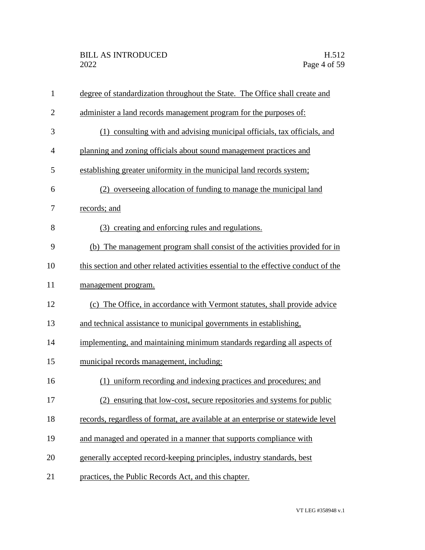| $\mathbf{1}$   | degree of standardization throughout the State. The Office shall create and         |
|----------------|-------------------------------------------------------------------------------------|
| $\overline{2}$ | administer a land records management program for the purposes of:                   |
| 3              | (1) consulting with and advising municipal officials, tax officials, and            |
| 4              | planning and zoning officials about sound management practices and                  |
| 5              | establishing greater uniformity in the municipal land records system;               |
| 6              | (2) overseeing allocation of funding to manage the municipal land                   |
| 7              | records; and                                                                        |
| 8              | (3) creating and enforcing rules and regulations.                                   |
| 9              | (b) The management program shall consist of the activities provided for in          |
| 10             | this section and other related activities essential to the effective conduct of the |
| 11             | management program.                                                                 |
| 12             | (c) The Office, in accordance with Vermont statutes, shall provide advice           |
| 13             | and technical assistance to municipal governments in establishing,                  |
| 14             | implementing, and maintaining minimum standards regarding all aspects of            |
| 15             | municipal records management, including:                                            |
| 16             | (1) uniform recording and indexing practices and procedures; and                    |
| 17             | (2) ensuring that low-cost, secure repositories and systems for public              |
| 18             | records, regardless of format, are available at an enterprise or statewide level    |
| 19             | and managed and operated in a manner that supports compliance with                  |
| 20             | generally accepted record-keeping principles, industry standards, best              |
| 21             | practices, the Public Records Act, and this chapter.                                |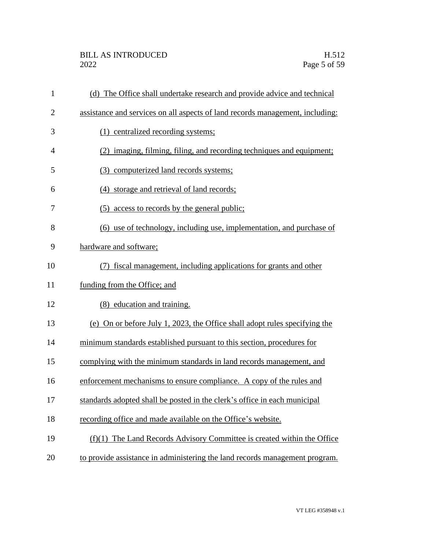| $\mathbf{1}$   | (d) The Office shall undertake research and provide advice and technical      |
|----------------|-------------------------------------------------------------------------------|
| $\overline{2}$ | assistance and services on all aspects of land records management, including: |
| 3              | (1) centralized recording systems;                                            |
| $\overline{4}$ | (2) imaging, filming, filing, and recording techniques and equipment;         |
| 5              | (3) computerized land records systems;                                        |
| 6              | (4) storage and retrieval of land records;                                    |
| 7              | (5) access to records by the general public;                                  |
| 8              | (6) use of technology, including use, implementation, and purchase of         |
| 9              | hardware and software;                                                        |
| 10             | fiscal management, including applications for grants and other                |
| 11             | funding from the Office; and                                                  |
| 12             | (8) education and training.                                                   |
| 13             | (e) On or before July 1, 2023, the Office shall adopt rules specifying the    |
| 14             | minimum standards established pursuant to this section, procedures for        |
| 15             | complying with the minimum standards in land records management, and          |
| 16             | enforcement mechanisms to ensure compliance. A copy of the rules and          |
| 17             | standards adopted shall be posted in the clerk's office in each municipal     |
| 18             | recording office and made available on the Office's website.                  |
| 19             | $(f)(1)$ The Land Records Advisory Committee is created within the Office     |
| 20             | to provide assistance in administering the land records management program.   |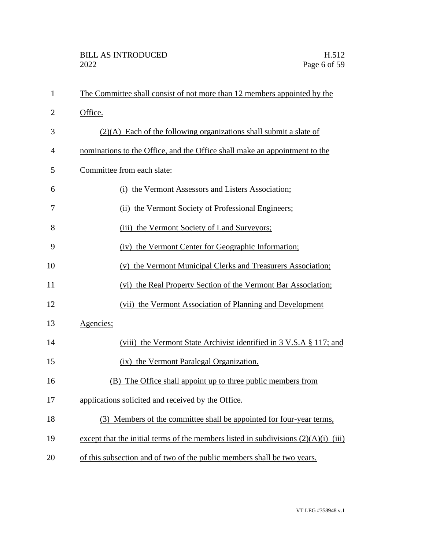| $\mathbf{1}$   | The Committee shall consist of not more than 12 members appointed by the               |
|----------------|----------------------------------------------------------------------------------------|
| $\overline{2}$ | Office.                                                                                |
| 3              | $(2)(A)$ Each of the following organizations shall submit a slate of                   |
| 4              | nominations to the Office, and the Office shall make an appointment to the             |
| 5              | Committee from each slate:                                                             |
| 6              | (i) the Vermont Assessors and Listers Association;                                     |
| 7              | (ii) the Vermont Society of Professional Engineers;                                    |
| 8              | the Vermont Society of Land Surveyors;<br>(iii)                                        |
| 9              | (iv) the Vermont Center for Geographic Information;                                    |
| 10             | (v) the Vermont Municipal Clerks and Treasurers Association;                           |
| 11             | (vi) the Real Property Section of the Vermont Bar Association;                         |
| 12             | (vii) the Vermont Association of Planning and Development                              |
| 13             | Agencies;                                                                              |
| 14             | (viii) the Vermont State Archivist identified in 3 V.S.A § 117; and                    |
| 15             | (ix) the Vermont Paralegal Organization.                                               |
| 16             | (B) The Office shall appoint up to three public members from                           |
| 17             | applications solicited and received by the Office.                                     |
| 18             | (3) Members of the committee shall be appointed for four-year terms,                   |
| 19             | except that the initial terms of the members listed in subdivisions $(2)(A)(i)$ —(iii) |
| 20             | of this subsection and of two of the public members shall be two years.                |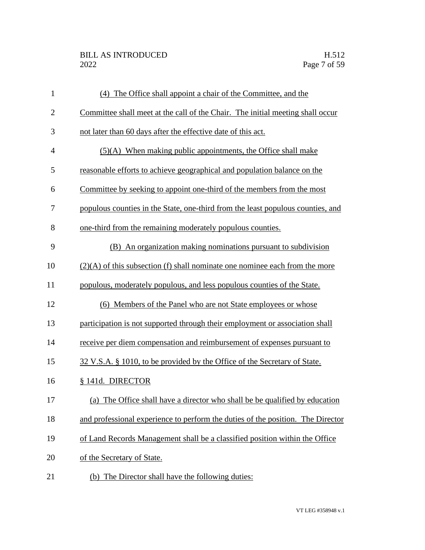| $\mathbf{1}$   | (4) The Office shall appoint a chair of the Committee, and the                  |
|----------------|---------------------------------------------------------------------------------|
| $\overline{2}$ | Committee shall meet at the call of the Chair. The initial meeting shall occur  |
| 3              | not later than 60 days after the effective date of this act.                    |
| $\overline{4}$ | $(5)(A)$ When making public appointments, the Office shall make                 |
| 5              | reasonable efforts to achieve geographical and population balance on the        |
| 6              | Committee by seeking to appoint one-third of the members from the most          |
| 7              | populous counties in the State, one-third from the least populous counties, and |
| 8              | one-third from the remaining moderately populous counties.                      |
| 9              | (B) An organization making nominations pursuant to subdivision                  |
| 10             | $(2)(A)$ of this subsection (f) shall nominate one nominee each from the more   |
| 11             | populous, moderately populous, and less populous counties of the State.         |
| 12             | (6) Members of the Panel who are not State employees or whose                   |
| 13             | participation is not supported through their employment or association shall    |
| 14             | receive per diem compensation and reimbursement of expenses pursuant to         |
| 15             | 32 V.S.A. § 1010, to be provided by the Office of the Secretary of State.       |
| 16             | § 141d. DIRECTOR                                                                |
| 17             | (a) The Office shall have a director who shall be be qualified by education     |
| 18             | and professional experience to perform the duties of the position. The Director |
| 19             | of Land Records Management shall be a classified position within the Office     |
| 20             | of the Secretary of State.                                                      |
| 21             | (b) The Director shall have the following duties:                               |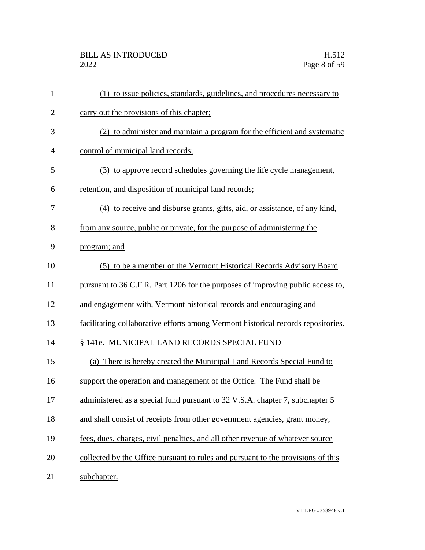| $\mathbf{1}$ | (1) to issue policies, standards, guidelines, and procedures necessary to         |
|--------------|-----------------------------------------------------------------------------------|
| $\mathbf{2}$ | carry out the provisions of this chapter;                                         |
| 3            | (2) to administer and maintain a program for the efficient and systematic         |
| 4            | control of municipal land records;                                                |
| 5            | (3) to approve record schedules governing the life cycle management,              |
| 6            | retention, and disposition of municipal land records;                             |
| 7            | (4) to receive and disburse grants, gifts, aid, or assistance, of any kind,       |
| 8            | from any source, public or private, for the purpose of administering the          |
| 9            | program; and                                                                      |
| 10           | (5) to be a member of the Vermont Historical Records Advisory Board               |
| 11           | pursuant to 36 C.F.R. Part 1206 for the purposes of improving public access to,   |
| 12           | and engagement with, Vermont historical records and encouraging and               |
| 13           | facilitating collaborative efforts among Vermont historical records repositories. |
| 14           | § 141e. MUNICIPAL LAND RECORDS SPECIAL FUND                                       |
| 15           | (a) There is hereby created the Municipal Land Records Special Fund to            |
| 16           | support the operation and management of the Office. The Fund shall be             |
| 17           | administered as a special fund pursuant to 32 V.S.A. chapter 7, subchapter 5      |
| 18           | and shall consist of receipts from other government agencies, grant money,        |
| 19           | fees, dues, charges, civil penalties, and all other revenue of whatever source    |
| 20           | collected by the Office pursuant to rules and pursuant to the provisions of this  |
| 21           | subchapter.                                                                       |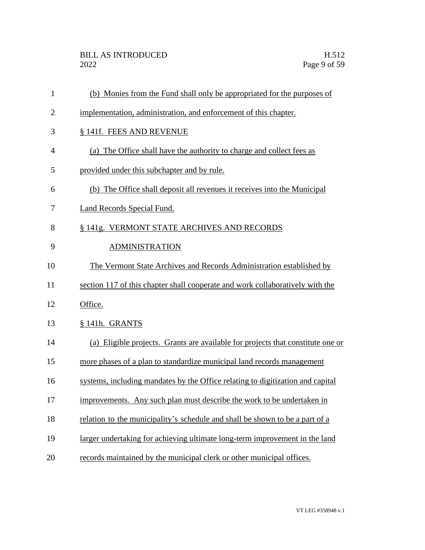| $\mathbf{1}$   | (b) Monies from the Fund shall only be appropriated for the purposes of         |
|----------------|---------------------------------------------------------------------------------|
| $\overline{2}$ | implementation, administration, and enforcement of this chapter.                |
| 3              | § 141f. FEES AND REVENUE                                                        |
| $\overline{4}$ | (a) The Office shall have the authority to charge and collect fees as           |
| 5              | provided under this subchapter and by rule.                                     |
| 6              | (b) The Office shall deposit all revenues it receives into the Municipal        |
| 7              | <b>Land Records Special Fund.</b>                                               |
| 8              | § 141g. VERMONT STATE ARCHIVES AND RECORDS                                      |
| 9              | <b>ADMINISTRATION</b>                                                           |
| 10             | The Vermont State Archives and Records Administration established by            |
| 11             | section 117 of this chapter shall cooperate and work collaboratively with the   |
| 12             | Office.                                                                         |
| 13             | § 141h. GRANTS                                                                  |
| 14             | (a) Eligible projects. Grants are available for projects that constitute one or |
| 15             | more phases of a plan to standardize municipal land records management          |
| 16             | systems, including mandates by the Office relating to digitization and capital  |
| 17             | improvements. Any such plan must describe the work to be undertaken in          |
| 18             | relation to the municipality's schedule and shall be shown to be a part of a    |
| 19             | larger undertaking for achieving ultimate long-term improvement in the land     |
| 20             | records maintained by the municipal clerk or other municipal offices.           |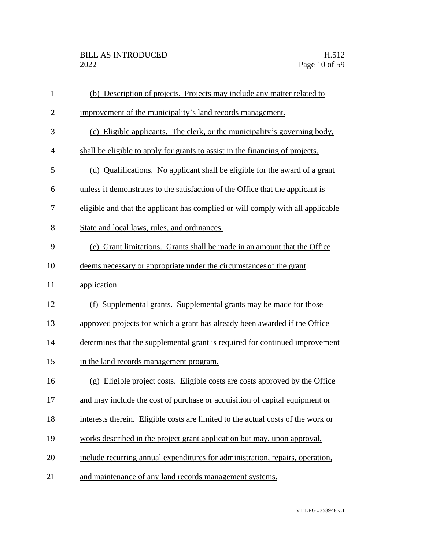| $\mathbf{1}$   | (b) Description of projects. Projects may include any matter related to          |
|----------------|----------------------------------------------------------------------------------|
| $\overline{2}$ | improvement of the municipality's land records management.                       |
| 3              | (c) Eligible applicants. The clerk, or the municipality's governing body,        |
| $\overline{4}$ | shall be eligible to apply for grants to assist in the financing of projects.    |
| 5              | (d) Qualifications. No applicant shall be eligible for the award of a grant      |
| 6              | unless it demonstrates to the satisfaction of the Office that the applicant is   |
| 7              | eligible and that the applicant has complied or will comply with all applicable  |
| 8              | State and local laws, rules, and ordinances.                                     |
| 9              | (e) Grant limitations. Grants shall be made in an amount that the Office         |
| 10             | deems necessary or appropriate under the circumstances of the grant              |
| 11             | application.                                                                     |
| 12             | (f) Supplemental grants. Supplemental grants may be made for those               |
| 13             | approved projects for which a grant has already been awarded if the Office       |
| 14             | determines that the supplemental grant is required for continued improvement     |
| 15             | in the land records management program.                                          |
| 16             | (g) Eligible project costs. Eligible costs are costs approved by the Office      |
| 17             | and may include the cost of purchase or acquisition of capital equipment or      |
| 18             | interests therein. Eligible costs are limited to the actual costs of the work or |
| 19             | works described in the project grant application but may, upon approval,         |
| 20             | include recurring annual expenditures for administration, repairs, operation,    |
| 21             | and maintenance of any land records management systems.                          |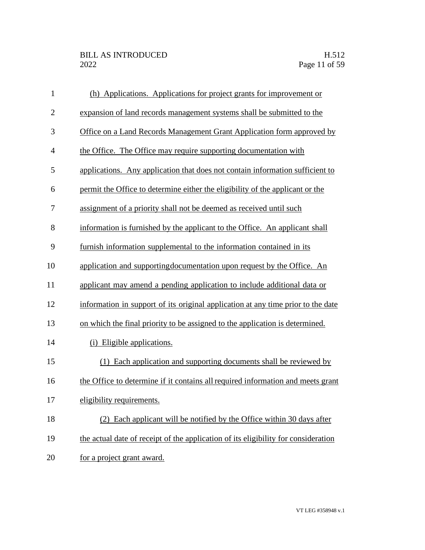| $\mathbf{1}$   | (h) Applications. Applications for project grants for improvement or               |
|----------------|------------------------------------------------------------------------------------|
| $\overline{c}$ | expansion of land records management systems shall be submitted to the             |
| 3              | Office on a Land Records Management Grant Application form approved by             |
| $\overline{4}$ | the Office. The Office may require supporting documentation with                   |
| 5              | applications. Any application that does not contain information sufficient to      |
| 6              | permit the Office to determine either the eligibility of the applicant or the      |
| 7              | assignment of a priority shall not be deemed as received until such                |
| 8              | information is furnished by the applicant to the Office. An applicant shall        |
| 9              | furnish information supplemental to the information contained in its               |
| 10             | application and supporting documentation upon request by the Office. An            |
| 11             | applicant may amend a pending application to include additional data or            |
| 12             | information in support of its original application at any time prior to the date   |
| 13             | on which the final priority to be assigned to the application is determined.       |
| 14             | (i) Eligible applications.                                                         |
| 15             | (1) Each application and supporting documents shall be reviewed by                 |
| 16             | the Office to determine if it contains all required information and meets grant    |
| 17             | eligibility requirements.                                                          |
| 18             | (2) Each applicant will be notified by the Office within 30 days after             |
| 19             | the actual date of receipt of the application of its eligibility for consideration |
| 20             | for a project grant award.                                                         |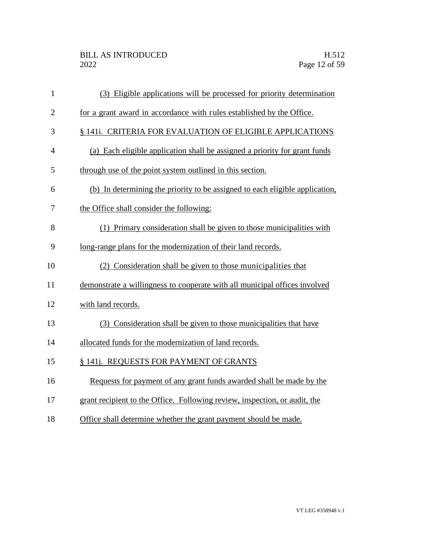| $\mathbf{1}$   | (3) Eligible applications will be processed for priority determination       |
|----------------|------------------------------------------------------------------------------|
| $\overline{2}$ | for a grant award in accordance with rules established by the Office.        |
| 3              | § 141i. CRITERIA FOR EVALUATION OF ELIGIBLE APPLICATIONS                     |
| 4              | (a) Each eligible application shall be assigned a priority for grant funds   |
| 5              | through use of the point system outlined in this section.                    |
| 6              | (b) In determining the priority to be assigned to each eligible application. |
| 7              | the Office shall consider the following:                                     |
| 8              | (1) Primary consideration shall be given to those municipalities with        |
| 9              | long-range plans for the modernization of their land records.                |
| 10             | (2) Consideration shall be given to those municipalities that                |
| 11             | demonstrate a willingness to cooperate with all municipal offices involved   |
| 12             | with land records.                                                           |
| 13             | (3) Consideration shall be given to those municipalities that have           |
| 14             | allocated funds for the modernization of land records.                       |
| 15             | § 141j. REQUESTS FOR PAYMENT OF GRANTS                                       |
| 16             | Requests for payment of any grant funds awarded shall be made by the         |
| 17             | grant recipient to the Office. Following review, inspection, or audit, the   |
|                |                                                                              |

18 Office shall determine whether the grant payment should be made.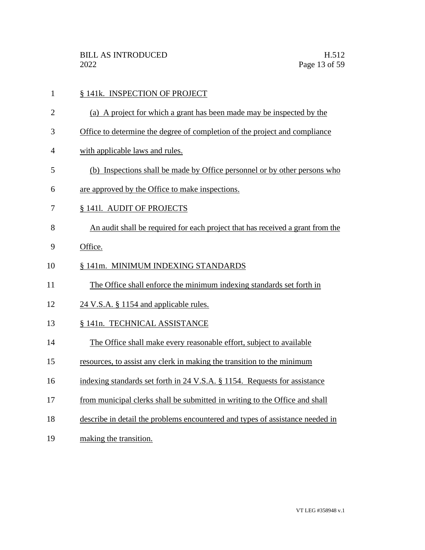- 1 § 141k. INSPECTION OF PROJECT
- (a) A project for which a grant has been made may be inspected by the
- Office to determine the degree of completion of the project and compliance
- with applicable laws and rules.
- (b) Inspections shall be made by Office personnel or by other persons who
- are approved by the Office to make inspections.
- § 141l. AUDIT OF PROJECTS
- An audit shall be required for each project that has received a grant from the
- Office.
- § 141m. MINIMUM INDEXING STANDARDS
- The Office shall enforce the minimum indexing standards set forth in
- 12 24 V.S.A. § 1154 and applicable rules.
- § 141n. TECHNICAL ASSISTANCE
- The Office shall make every reasonable effort, subject to available
- resources, to assist any clerk in making the transition to the minimum
- 16 indexing standards set forth in 24 V.S.A. § 1154. Requests for assistance
- from municipal clerks shall be submitted in writing to the Office and shall
- describe in detail the problems encountered and types of assistance needed in
- making the transition.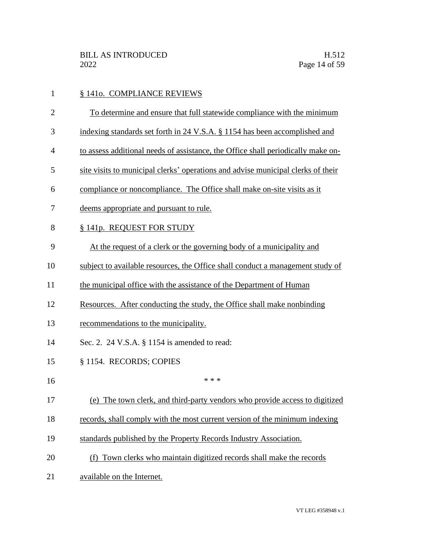| $\mathbf{1}$   | § 1410. COMPLIANCE REVIEWS                                                       |
|----------------|----------------------------------------------------------------------------------|
| $\overline{2}$ | To determine and ensure that full statewide compliance with the minimum          |
| 3              | indexing standards set forth in 24 V.S.A. § 1154 has been accomplished and       |
| 4              | to assess additional needs of assistance, the Office shall periodically make on- |
| 5              | site visits to municipal clerks' operations and advise municipal clerks of their |
| 6              | compliance or noncompliance. The Office shall make on-site visits as it          |
| 7              | deems appropriate and pursuant to rule.                                          |
| 8              | § 141p. REQUEST FOR STUDY                                                        |
| 9              | At the request of a clerk or the governing body of a municipality and            |
| 10             | subject to available resources, the Office shall conduct a management study of   |
| 11             | the municipal office with the assistance of the Department of Human              |
| 12             | Resources. After conducting the study, the Office shall make nonbinding          |
| 13             | recommendations to the municipality.                                             |
| 14             | Sec. 2. 24 V.S.A. § 1154 is amended to read:                                     |
| 15             | § 1154. RECORDS; COPIES                                                          |
| 16             | * * *                                                                            |
| 17             | (e) The town clerk, and third-party vendors who provide access to digitized      |
| 18             | records, shall comply with the most current version of the minimum indexing      |
| 19             | standards published by the Property Records Industry Association.                |
| 20             | (f) Town clerks who maintain digitized records shall make the records            |
| 21             | available on the Internet.                                                       |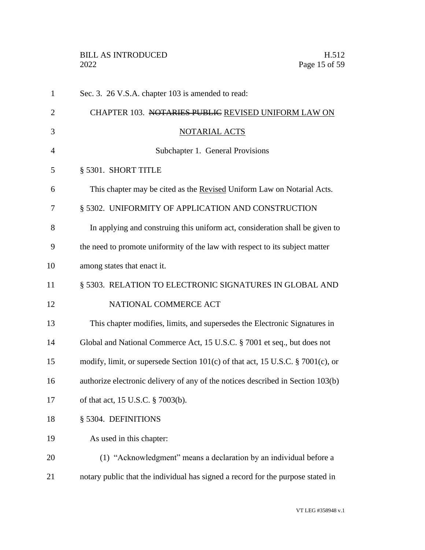|                | <b>BILL AS INTRODUCED</b><br>H.512<br>Page 15 of 59<br>2022                     |
|----------------|---------------------------------------------------------------------------------|
| $\mathbf{1}$   | Sec. 3. 26 V.S.A. chapter 103 is amended to read:                               |
| $\overline{2}$ | CHAPTER 103. NOTARIES PUBLIC REVISED UNIFORM LAW ON                             |
| 3              | <b>NOTARIAL ACTS</b>                                                            |
| $\overline{4}$ | Subchapter 1. General Provisions                                                |
| 5              | § 5301. SHORT TITLE                                                             |
| 6              | This chapter may be cited as the Revised Uniform Law on Notarial Acts.          |
| 7              | § 5302. UNIFORMITY OF APPLICATION AND CONSTRUCTION                              |
| 8              | In applying and construing this uniform act, consideration shall be given to    |
| 9              | the need to promote uniformity of the law with respect to its subject matter    |
| 10             | among states that enact it.                                                     |
| 11             | § 5303. RELATION TO ELECTRONIC SIGNATURES IN GLOBAL AND                         |
| 12             | NATIONAL COMMERCE ACT                                                           |
| 13             | This chapter modifies, limits, and supersedes the Electronic Signatures in      |
| 14             | Global and National Commerce Act, 15 U.S.C. § 7001 et seq., but does not        |
| 15             | modify, limit, or supersede Section 101(c) of that act, 15 U.S.C. § 7001(c), or |
| 16             | authorize electronic delivery of any of the notices described in Section 103(b) |
| 17             | of that act, 15 U.S.C. § 7003(b).                                               |
|                |                                                                                 |

- § 5304. DEFINITIONS
- As used in this chapter:
- (1) "Acknowledgment" means a declaration by an individual before a notary public that the individual has signed a record for the purpose stated in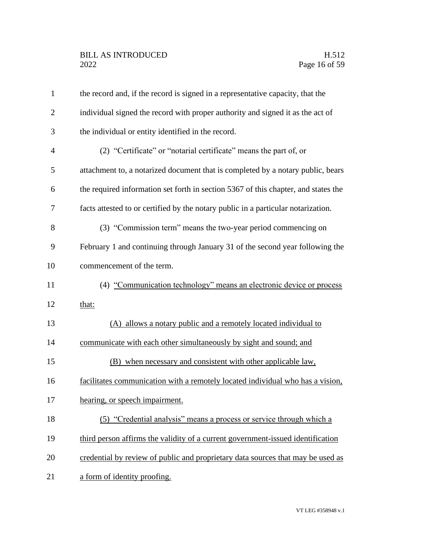| $\mathbf{1}$   | the record and, if the record is signed in a representative capacity, that the     |
|----------------|------------------------------------------------------------------------------------|
| $\overline{2}$ | individual signed the record with proper authority and signed it as the act of     |
| 3              | the individual or entity identified in the record.                                 |
| 4              | (2) "Certificate" or "notarial certificate" means the part of, or                  |
| 5              | attachment to, a notarized document that is completed by a notary public, bears    |
| 6              | the required information set forth in section 5367 of this chapter, and states the |
| 7              | facts attested to or certified by the notary public in a particular notarization.  |
| 8              | (3) "Commission term" means the two-year period commencing on                      |
| 9              | February 1 and continuing through January 31 of the second year following the      |
| 10             | commencement of the term.                                                          |
| 11             | (4) "Communication technology" means an electronic device or process               |
| 12             | that:                                                                              |
| 13             | (A) allows a notary public and a remotely located individual to                    |
| 14             | communicate with each other simultaneously by sight and sound; and                 |
| 15             | (B) when necessary and consistent with other applicable law,                       |
| 16             | facilitates communication with a remotely located individual who has a vision,     |
| 17             | hearing, or speech impairment.                                                     |
| 18             | (5) "Credential analysis" means a process or service through which a               |
| 19             | third person affirms the validity of a current government-issued identification    |
| 20             | credential by review of public and proprietary data sources that may be used as    |
| 21             | a form of identity proofing.                                                       |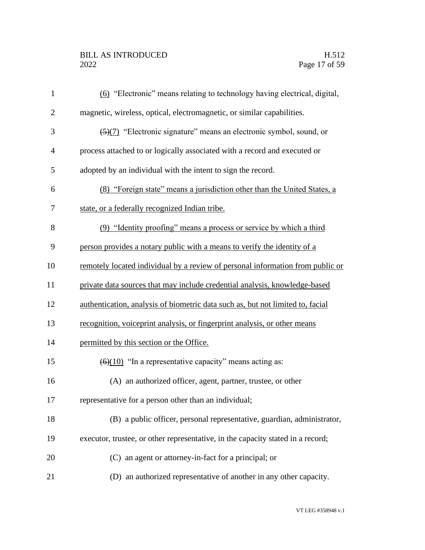# BILL AS INTRODUCED H.512<br>2022 Page 17 of 59

| $\mathbf{1}$   | (6) "Electronic" means relating to technology having electrical, digital,       |
|----------------|---------------------------------------------------------------------------------|
| $\overline{2}$ | magnetic, wireless, optical, electromagnetic, or similar capabilities.          |
| 3              | (5)(7) "Electronic signature" means an electronic symbol, sound, or             |
| $\overline{4}$ | process attached to or logically associated with a record and executed or       |
| 5              | adopted by an individual with the intent to sign the record.                    |
| 6              | (8) "Foreign state" means a jurisdiction other than the United States, a        |
| 7              | state, or a federally recognized Indian tribe.                                  |
| 8              | (9) "Identity proofing" means a process or service by which a third             |
| 9              | person provides a notary public with a means to verify the identity of a        |
| 10             | remotely located individual by a review of personal information from public or  |
| 11             | private data sources that may include credential analysis, knowledge-based      |
| 12             | authentication, analysis of biometric data such as, but not limited to, facial  |
| 13             | recognition, voiceprint analysis, or fingerprint analysis, or other means       |
| 14             | permitted by this section or the Office.                                        |
| 15             | $\left(\frac{6}{10}\right)$ "In a representative capacity" means acting as:     |
| 16             | (A) an authorized officer, agent, partner, trustee, or other                    |
| 17             | representative for a person other than an individual;                           |
| 18             | (B) a public officer, personal representative, guardian, administrator,         |
| 19             | executor, trustee, or other representative, in the capacity stated in a record; |
| 20             | (C) an agent or attorney-in-fact for a principal; or                            |
| 21             | (D) an authorized representative of another in any other capacity.              |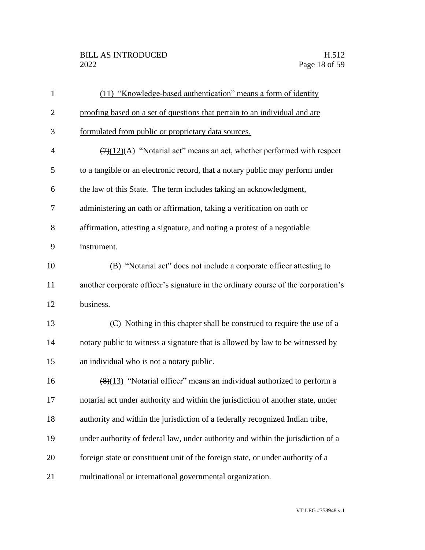#### BILL AS INTRODUCED H.512<br>2022 Page 18 of 59

| $\mathbf{1}$   | (11) "Knowledge-based authentication" means a form of identity                       |
|----------------|--------------------------------------------------------------------------------------|
| $\overline{2}$ | proofing based on a set of questions that pertain to an individual and are           |
| 3              | formulated from public or proprietary data sources.                                  |
| $\overline{4}$ | $\overline{(7)(12)}$ (A) "Notarial act" means an act, whether performed with respect |
| 5              | to a tangible or an electronic record, that a notary public may perform under        |
| 6              | the law of this State. The term includes taking an acknowledgment,                   |
| 7              | administering an oath or affirmation, taking a verification on oath or               |
| 8              | affirmation, attesting a signature, and noting a protest of a negotiable             |
| 9              | instrument.                                                                          |
| 10             | (B) "Notarial act" does not include a corporate officer attesting to                 |
| 11             | another corporate officer's signature in the ordinary course of the corporation's    |
| 12             | business.                                                                            |
| 13             | (C) Nothing in this chapter shall be construed to require the use of a               |
| 14             | notary public to witness a signature that is allowed by law to be witnessed by       |
| 15             | an individual who is not a notary public.                                            |
| 16             | $(8)(13)$ "Notarial officer" means an individual authorized to perform a             |
| 17             | notarial act under authority and within the jurisdiction of another state, under     |
| 18             | authority and within the jurisdiction of a federally recognized Indian tribe,        |
| 19             | under authority of federal law, under authority and within the jurisdiction of a     |
| 20             | foreign state or constituent unit of the foreign state, or under authority of a      |
| 21             | multinational or international governmental organization.                            |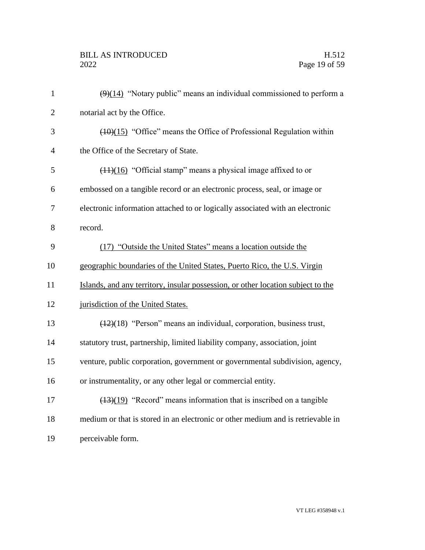| $\mathbf{1}$   | $\left(\frac{9}{14}\right)$ "Notary public" means an individual commissioned to perform a |
|----------------|-------------------------------------------------------------------------------------------|
| $\overline{2}$ | notarial act by the Office.                                                               |
| 3              | $(10)(15)$ "Office" means the Office of Professional Regulation within                    |
| $\overline{4}$ | the Office of the Secretary of State.                                                     |
| 5              | $(11)(16)$ "Official stamp" means a physical image affixed to or                          |
| 6              | embossed on a tangible record or an electronic process, seal, or image or                 |
| $\overline{7}$ | electronic information attached to or logically associated with an electronic             |
| 8              | record.                                                                                   |
| 9              | (17) "Outside the United States" means a location outside the                             |
| 10             | geographic boundaries of the United States, Puerto Rico, the U.S. Virgin                  |
| 11             | Islands, and any territory, insular possession, or other location subject to the          |
| 12             | jurisdiction of the United States.                                                        |
| 13             | $(12)(18)$ "Person" means an individual, corporation, business trust,                     |
| 14             | statutory trust, partnership, limited liability company, association, joint               |
| 15             | venture, public corporation, government or governmental subdivision, agency,              |
| 16             | or instrumentality, or any other legal or commercial entity.                              |
| 17             | $\frac{(13)(19)}{2}$ "Record" means information that is inscribed on a tangible           |
| 18             | medium or that is stored in an electronic or other medium and is retrievable in           |
| 19             | perceivable form.                                                                         |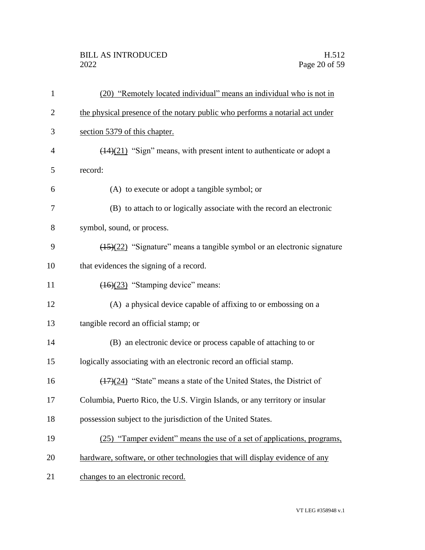## BILL AS INTRODUCED H.512<br>2022 Page 20 of 59

| $\mathbf{1}$   | (20) "Remotely located individual" means an individual who is not in                |
|----------------|-------------------------------------------------------------------------------------|
| $\overline{2}$ | the physical presence of the notary public who performs a notarial act under        |
| 3              | section 5379 of this chapter.                                                       |
| $\overline{4}$ | $\frac{(14)(21)}{2}$ "Sign" means, with present intent to authenticate or adopt a   |
| 5              | record:                                                                             |
| 6              | (A) to execute or adopt a tangible symbol; or                                       |
| 7              | (B) to attach to or logically associate with the record an electronic               |
| 8              | symbol, sound, or process.                                                          |
| 9              | $\frac{(15)(22)}{2}$ "Signature" means a tangible symbol or an electronic signature |
| 10             | that evidences the signing of a record.                                             |
| 11             | $\left(\frac{(16)(23)}{23}\right)$ "Stamping device" means:                         |
| 12             | (A) a physical device capable of affixing to or embossing on a                      |
| 13             | tangible record an official stamp; or                                               |
| 14             | (B) an electronic device or process capable of attaching to or                      |
| 15             | logically associating with an electronic record an official stamp.                  |
| 16             | $(17)(24)$ "State" means a state of the United States, the District of              |
| 17             | Columbia, Puerto Rico, the U.S. Virgin Islands, or any territory or insular         |
| 18             | possession subject to the jurisdiction of the United States.                        |
| 19             | (25) "Tamper evident" means the use of a set of applications, programs,             |
| 20             | hardware, software, or other technologies that will display evidence of any         |
| 21             | changes to an electronic record.                                                    |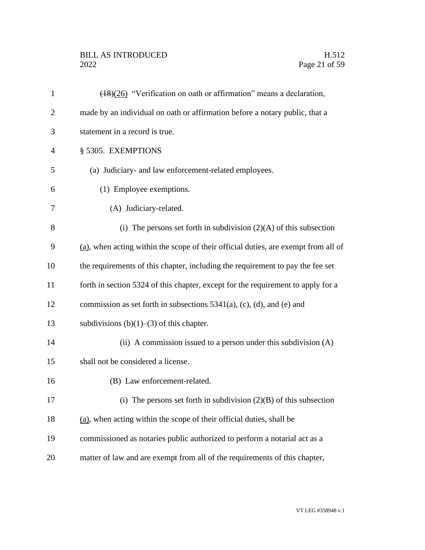# BILL AS INTRODUCED H.512<br>2022 Page 21 of 59

| $\mathbf{1}$   | $\frac{(18)(26)}{20}$ "Verification on oath or affirmation" means a declaration,      |
|----------------|---------------------------------------------------------------------------------------|
| $\overline{2}$ | made by an individual on oath or affirmation before a notary public, that a           |
| 3              | statement in a record is true.                                                        |
| $\overline{4}$ | § 5305. EXEMPTIONS                                                                    |
| 5              | (a) Judiciary- and law enforcement-related employees.                                 |
| 6              | (1) Employee exemptions.                                                              |
| 7              | (A) Judiciary-related.                                                                |
| 8              | (i) The persons set forth in subdivision $(2)(A)$ of this subsection                  |
| 9              | $(a)$ , when acting within the scope of their official duties, are exempt from all of |
| 10             | the requirements of this chapter, including the requirement to pay the fee set        |
| 11             | forth in section 5324 of this chapter, except for the requirement to apply for a      |
| 12             | commission as set forth in subsections $5341(a)$ , (c), (d), and (e) and              |
| 13             | subdivisions $(b)(1)$ – $(3)$ of this chapter.                                        |
| 14             | (ii) A commission issued to a person under this subdivision $(A)$                     |
| 15             | shall not be considered a license.                                                    |
| 16             | (B) Law enforcement-related.                                                          |
| 17             | (i) The persons set forth in subdivision $(2)(B)$ of this subsection                  |
| 18             | (a), when acting within the scope of their official duties, shall be                  |
| 19             | commissioned as notaries public authorized to perform a notarial act as a             |
| 20             | matter of law and are exempt from all of the requirements of this chapter,            |
|                |                                                                                       |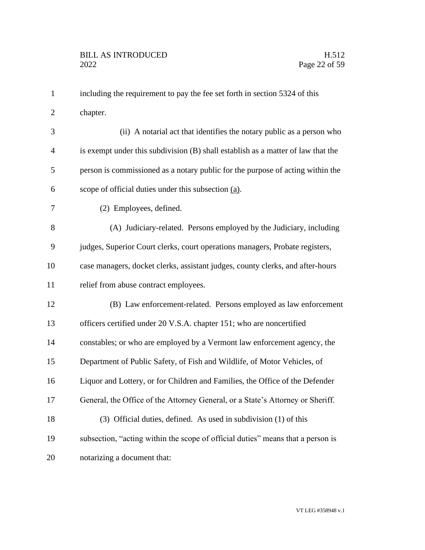| $\mathbf{1}$   | including the requirement to pay the fee set forth in section 5324 of this       |
|----------------|----------------------------------------------------------------------------------|
| $\overline{2}$ | chapter.                                                                         |
| 3              | (ii) A notarial act that identifies the notary public as a person who            |
| $\overline{4}$ | is exempt under this subdivision (B) shall establish as a matter of law that the |
| 5              | person is commissioned as a notary public for the purpose of acting within the   |
| 6              | scope of official duties under this subsection (a).                              |
| $\overline{7}$ | (2) Employees, defined.                                                          |
| 8              | (A) Judiciary-related. Persons employed by the Judiciary, including              |
| 9              | judges, Superior Court clerks, court operations managers, Probate registers,     |
| 10             | case managers, docket clerks, assistant judges, county clerks, and after-hours   |
| 11             | relief from abuse contract employees.                                            |
| 12             | (B) Law enforcement-related. Persons employed as law enforcement                 |
| 13             | officers certified under 20 V.S.A. chapter 151; who are noncertified             |
| 14             | constables; or who are employed by a Vermont law enforcement agency, the         |
| 15             | Department of Public Safety, of Fish and Wildlife, of Motor Vehicles, of         |
| 16             | Liquor and Lottery, or for Children and Families, the Office of the Defender     |
| 17             | General, the Office of the Attorney General, or a State's Attorney or Sheriff.   |
| 18             | (3) Official duties, defined. As used in subdivision (1) of this                 |
| 19             | subsection, "acting within the scope of official duties" means that a person is  |
| 20             | notarizing a document that:                                                      |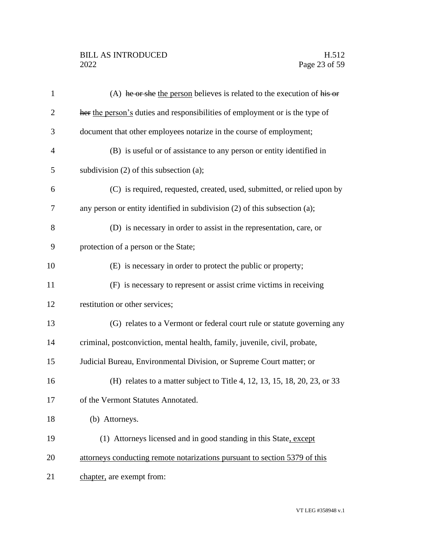## BILL AS INTRODUCED H.512<br>2022 Page 23 of 59

| 1              | (A) he or she the person believes is related to the execution of his or         |
|----------------|---------------------------------------------------------------------------------|
| $\overline{2}$ | her the person's duties and responsibilities of employment or is the type of    |
| 3              | document that other employees notarize in the course of employment;             |
| 4              | (B) is useful or of assistance to any person or entity identified in            |
| 5              | subdivision $(2)$ of this subsection $(a)$ ;                                    |
| 6              | (C) is required, requested, created, used, submitted, or relied upon by         |
| 7              | any person or entity identified in subdivision $(2)$ of this subsection $(a)$ ; |
| 8              | (D) is necessary in order to assist in the representation, care, or             |
| 9              | protection of a person or the State;                                            |
| 10             | (E) is necessary in order to protect the public or property;                    |
| 11             | (F) is necessary to represent or assist crime victims in receiving              |
| 12             | restitution or other services;                                                  |
| 13             | (G) relates to a Vermont or federal court rule or statute governing any         |
| 14             | criminal, postconviction, mental health, family, juvenile, civil, probate,      |
| 15             | Judicial Bureau, Environmental Division, or Supreme Court matter; or            |
| 16             | (H) relates to a matter subject to Title 4, 12, 13, 15, 18, 20, 23, or 33       |
| 17             | of the Vermont Statutes Annotated.                                              |
| 18             | (b) Attorneys.                                                                  |
| 19             | (1) Attorneys licensed and in good standing in this State, except               |
| 20             | attorneys conducting remote notarizations pursuant to section 5379 of this      |
| 21             | chapter, are exempt from:                                                       |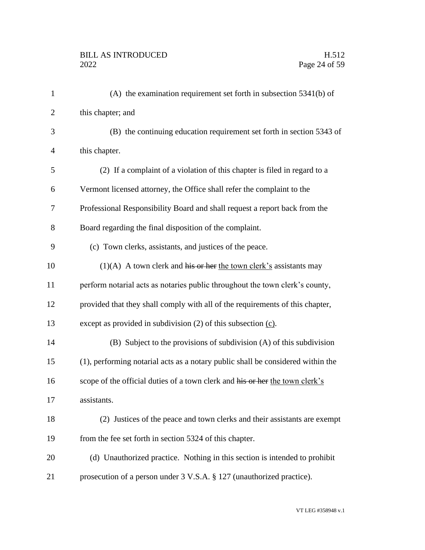| $\mathbf{1}$   | $(A)$ the examination requirement set forth in subsection 5341(b) of            |
|----------------|---------------------------------------------------------------------------------|
| $\overline{2}$ | this chapter; and                                                               |
| 3              | (B) the continuing education requirement set forth in section 5343 of           |
| $\overline{4}$ | this chapter.                                                                   |
| 5              | (2) If a complaint of a violation of this chapter is filed in regard to a       |
| 6              | Vermont licensed attorney, the Office shall refer the complaint to the          |
| 7              | Professional Responsibility Board and shall request a report back from the      |
| 8              | Board regarding the final disposition of the complaint.                         |
| 9              | (c) Town clerks, assistants, and justices of the peace.                         |
| 10             | $(1)(A)$ A town clerk and his or her the town clerk's assistants may            |
| 11             | perform notarial acts as notaries public throughout the town clerk's county,    |
| 12             | provided that they shall comply with all of the requirements of this chapter,   |
| 13             | except as provided in subdivision $(2)$ of this subsection $(c)$ .              |
| 14             | (B) Subject to the provisions of subdivision (A) of this subdivision            |
| 15             | (1), performing notarial acts as a notary public shall be considered within the |
| 16             | scope of the official duties of a town clerk and his or her the town clerk's    |
| 17             | assistants.                                                                     |
| 18             | (2) Justices of the peace and town clerks and their assistants are exempt       |
| 19             | from the fee set forth in section 5324 of this chapter.                         |
| 20             | (d) Unauthorized practice. Nothing in this section is intended to prohibit      |
| 21             | prosecution of a person under 3 V.S.A. § 127 (unauthorized practice).           |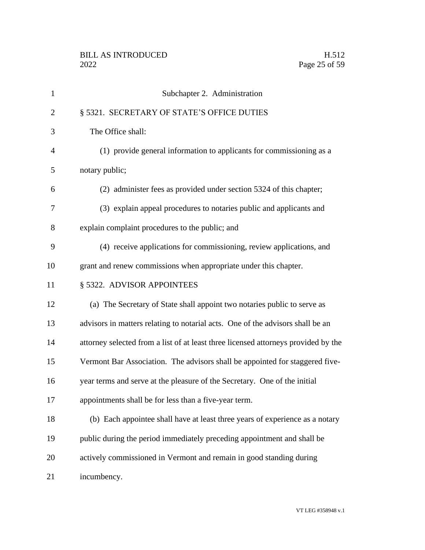| $\mathbf{1}$   | Subchapter 2. Administration                                                       |
|----------------|------------------------------------------------------------------------------------|
| $\overline{2}$ | § 5321. SECRETARY OF STATE'S OFFICE DUTIES                                         |
| 3              | The Office shall:                                                                  |
| $\overline{4}$ | (1) provide general information to applicants for commissioning as a               |
| 5              | notary public;                                                                     |
| 6              | (2) administer fees as provided under section 5324 of this chapter;                |
| 7              | (3) explain appeal procedures to notaries public and applicants and                |
| 8              | explain complaint procedures to the public; and                                    |
| 9              | (4) receive applications for commissioning, review applications, and               |
| 10             | grant and renew commissions when appropriate under this chapter.                   |
| 11             | § 5322. ADVISOR APPOINTEES                                                         |
| 12             | (a) The Secretary of State shall appoint two notaries public to serve as           |
| 13             | advisors in matters relating to notarial acts. One of the advisors shall be an     |
| 14             | attorney selected from a list of at least three licensed attorneys provided by the |
| 15             | Vermont Bar Association. The advisors shall be appointed for staggered five-       |
| 16             | year terms and serve at the pleasure of the Secretary. One of the initial          |
| 17             | appointments shall be for less than a five-year term.                              |
| 18             | (b) Each appointee shall have at least three years of experience as a notary       |
| 19             | public during the period immediately preceding appointment and shall be            |
| 20             | actively commissioned in Vermont and remain in good standing during                |
| 21             | incumbency.                                                                        |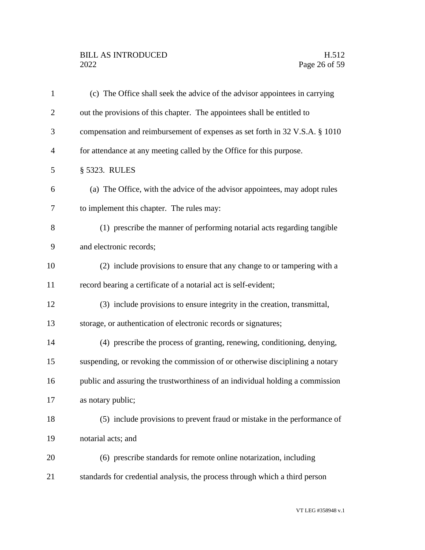| $\mathbf{1}$   | (c) The Office shall seek the advice of the advisor appointees in carrying    |
|----------------|-------------------------------------------------------------------------------|
| $\overline{2}$ | out the provisions of this chapter. The appointees shall be entitled to       |
| 3              | compensation and reimbursement of expenses as set forth in 32 V.S.A. § 1010   |
| 4              | for attendance at any meeting called by the Office for this purpose.          |
| 5              | § 5323. RULES                                                                 |
| 6              | (a) The Office, with the advice of the advisor appointees, may adopt rules    |
| 7              | to implement this chapter. The rules may:                                     |
| 8              | (1) prescribe the manner of performing notarial acts regarding tangible       |
| 9              | and electronic records;                                                       |
| 10             | (2) include provisions to ensure that any change to or tampering with a       |
| 11             | record bearing a certificate of a notarial act is self-evident;               |
| 12             | (3) include provisions to ensure integrity in the creation, transmittal,      |
| 13             | storage, or authentication of electronic records or signatures;               |
| 14             | (4) prescribe the process of granting, renewing, conditioning, denying,       |
| 15             | suspending, or revoking the commission of or otherwise disciplining a notary  |
| 16             | public and assuring the trustworthiness of an individual holding a commission |
| 17             | as notary public;                                                             |
| 18             | (5) include provisions to prevent fraud or mistake in the performance of      |
| 19             | notarial acts; and                                                            |
| 20             | (6) prescribe standards for remote online notarization, including             |
| 21             | standards for credential analysis, the process through which a third person   |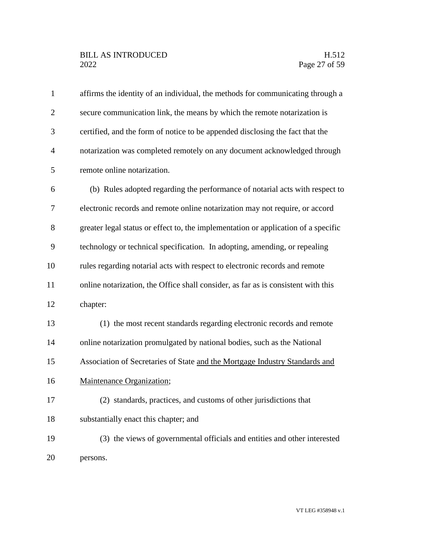# BILL AS INTRODUCED H.512<br>2022 Page 27 of 59

| affirms the identity of an individual, the methods for communicating through a     |
|------------------------------------------------------------------------------------|
| secure communication link, the means by which the remote notarization is           |
| certified, and the form of notice to be appended disclosing the fact that the      |
| notarization was completed remotely on any document acknowledged through           |
| remote online notarization.                                                        |
| (b) Rules adopted regarding the performance of notarial acts with respect to       |
| electronic records and remote online notarization may not require, or accord       |
| greater legal status or effect to, the implementation or application of a specific |
| technology or technical specification. In adopting, amending, or repealing         |
| rules regarding notarial acts with respect to electronic records and remote        |
| online notarization, the Office shall consider, as far as is consistent with this  |
| chapter:                                                                           |
| (1) the most recent standards regarding electronic records and remote              |
| online notarization promulgated by national bodies, such as the National           |
| Association of Secretaries of State and the Mortgage Industry Standards and        |
| Maintenance Organization;                                                          |
| (2) standards, practices, and customs of other jurisdictions that                  |
| substantially enact this chapter; and                                              |
| (3) the views of governmental officials and entities and other interested          |
| persons.                                                                           |
|                                                                                    |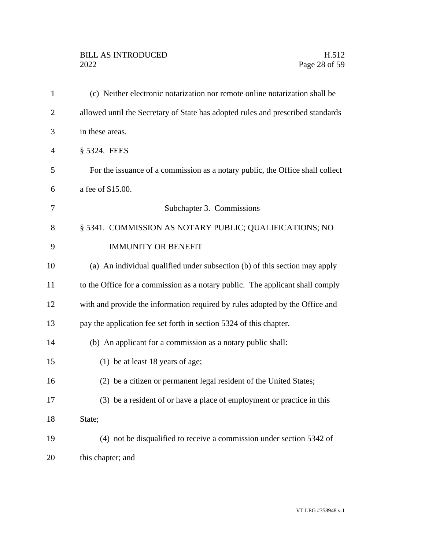# BILL AS INTRODUCED H.512<br>2022 Page 28 of 59

| $\mathbf{1}$   | (c) Neither electronic notarization nor remote online notarization shall be     |
|----------------|---------------------------------------------------------------------------------|
| $\overline{2}$ | allowed until the Secretary of State has adopted rules and prescribed standards |
| 3              | in these areas.                                                                 |
| $\overline{4}$ | § 5324. FEES                                                                    |
| 5              | For the issuance of a commission as a notary public, the Office shall collect   |
| 6              | a fee of \$15.00.                                                               |
| 7              | Subchapter 3. Commissions                                                       |
| 8              | § 5341. COMMISSION AS NOTARY PUBLIC; QUALIFICATIONS; NO                         |
| 9              | <b>IMMUNITY OR BENEFIT</b>                                                      |
| 10             | (a) An individual qualified under subsection (b) of this section may apply      |
| 11             | to the Office for a commission as a notary public. The applicant shall comply   |
| 12             | with and provide the information required by rules adopted by the Office and    |
| 13             | pay the application fee set forth in section 5324 of this chapter.              |
| 14             | (b) An applicant for a commission as a notary public shall:                     |
| 15             | (1) be at least 18 years of age;                                                |
| 16             | (2) be a citizen or permanent legal resident of the United States;              |
| 17             | (3) be a resident of or have a place of employment or practice in this          |
| 18             | State;                                                                          |
| 19             | (4) not be disqualified to receive a commission under section 5342 of           |
| 20             | this chapter; and                                                               |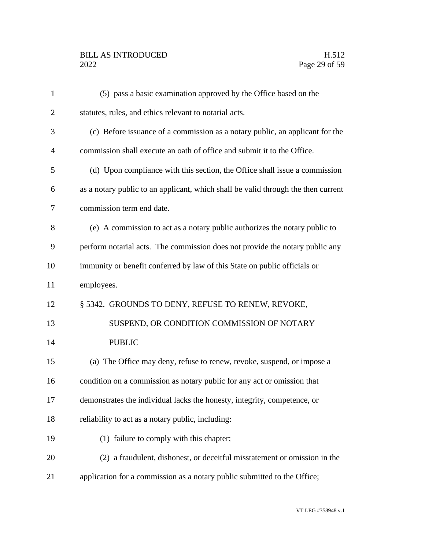## BILL AS INTRODUCED H.512<br>2022 Page 29 of 59

| $\mathbf{1}$   | (5) pass a basic examination approved by the Office based on the                  |
|----------------|-----------------------------------------------------------------------------------|
| $\overline{2}$ | statutes, rules, and ethics relevant to notarial acts.                            |
| 3              | (c) Before issuance of a commission as a notary public, an applicant for the      |
| 4              | commission shall execute an oath of office and submit it to the Office.           |
| 5              | (d) Upon compliance with this section, the Office shall issue a commission        |
| 6              | as a notary public to an applicant, which shall be valid through the then current |
| 7              | commission term end date.                                                         |
| 8              | (e) A commission to act as a notary public authorizes the notary public to        |
| 9              | perform notarial acts. The commission does not provide the notary public any      |
| 10             | immunity or benefit conferred by law of this State on public officials or         |
| 11             | employees.                                                                        |
| 12             | § 5342. GROUNDS TO DENY, REFUSE TO RENEW, REVOKE,                                 |
| 13             | SUSPEND, OR CONDITION COMMISSION OF NOTARY                                        |
| 14             | <b>PUBLIC</b>                                                                     |
| 15             | (a) The Office may deny, refuse to renew, revoke, suspend, or impose a            |
| 16             | condition on a commission as notary public for any act or omission that           |
| 17             | demonstrates the individual lacks the honesty, integrity, competence, or          |
| 18             | reliability to act as a notary public, including:                                 |
| 19             | (1) failure to comply with this chapter;                                          |
| 20             | (2) a fraudulent, dishonest, or deceitful misstatement or omission in the         |
| 21             | application for a commission as a notary public submitted to the Office;          |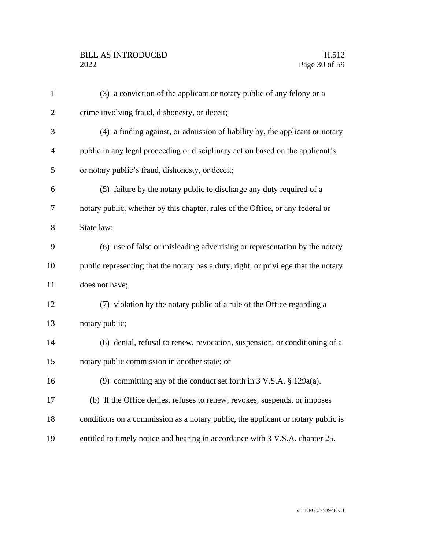# BILL AS INTRODUCED H.512<br>2022 Page 30 of 59

| $\mathbf{1}$   | (3) a conviction of the applicant or notary public of any felony or a               |
|----------------|-------------------------------------------------------------------------------------|
| $\overline{2}$ | crime involving fraud, dishonesty, or deceit;                                       |
| 3              | (4) a finding against, or admission of liability by, the applicant or notary        |
| $\overline{4}$ | public in any legal proceeding or disciplinary action based on the applicant's      |
| 5              | or notary public's fraud, dishonesty, or deceit;                                    |
| 6              | (5) failure by the notary public to discharge any duty required of a                |
| 7              | notary public, whether by this chapter, rules of the Office, or any federal or      |
| 8              | State law;                                                                          |
| 9              | (6) use of false or misleading advertising or representation by the notary          |
| 10             | public representing that the notary has a duty, right, or privilege that the notary |
| 11             | does not have;                                                                      |
| 12             | (7) violation by the notary public of a rule of the Office regarding a              |
| 13             | notary public;                                                                      |
| 14             | (8) denial, refusal to renew, revocation, suspension, or conditioning of a          |
| 15             | notary public commission in another state; or                                       |
| 16             | (9) committing any of the conduct set forth in $3 \text{ V.S.A. }$ \$129a(a).       |
| 17             | (b) If the Office denies, refuses to renew, revokes, suspends, or imposes           |
| 18             | conditions on a commission as a notary public, the applicant or notary public is    |
| 19             | entitled to timely notice and hearing in accordance with 3 V.S.A. chapter 25.       |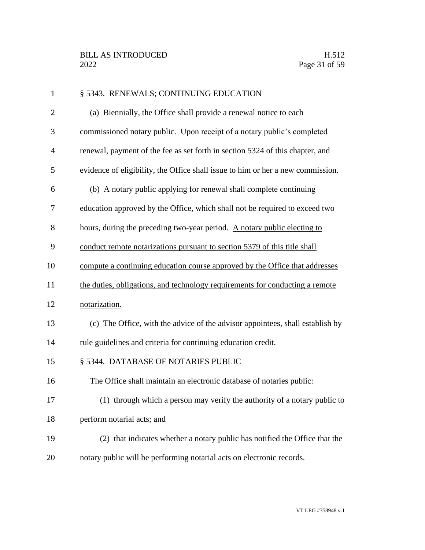| $\mathbf{1}$   | § 5343. RENEWALS; CONTINUING EDUCATION                                          |
|----------------|---------------------------------------------------------------------------------|
| $\overline{2}$ | (a) Biennially, the Office shall provide a renewal notice to each               |
| 3              | commissioned notary public. Upon receipt of a notary public's completed         |
| $\overline{4}$ | renewal, payment of the fee as set forth in section 5324 of this chapter, and   |
| 5              | evidence of eligibility, the Office shall issue to him or her a new commission. |
| 6              | (b) A notary public applying for renewal shall complete continuing              |
| 7              | education approved by the Office, which shall not be required to exceed two     |
| 8              | hours, during the preceding two-year period. A notary public electing to        |
| 9              | conduct remote notarizations pursuant to section 5379 of this title shall       |
| 10             | compute a continuing education course approved by the Office that addresses     |
| 11             | the duties, obligations, and technology requirements for conducting a remote    |
| 12             | notarization.                                                                   |
| 13             | (c) The Office, with the advice of the advisor appointees, shall establish by   |
| 14             | rule guidelines and criteria for continuing education credit.                   |
| 15             | § 5344. DATABASE OF NOTARIES PUBLIC                                             |
| 16             | The Office shall maintain an electronic database of notaries public:            |
| 17             | (1) through which a person may verify the authority of a notary public to       |
| 18             | perform notarial acts; and                                                      |
| 19             | (2) that indicates whether a notary public has notified the Office that the     |
| 20             | notary public will be performing notarial acts on electronic records.           |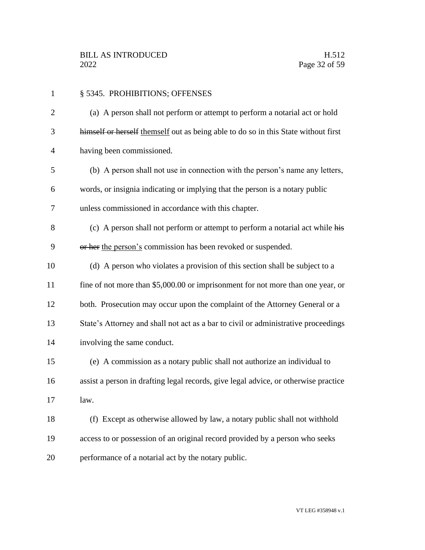| $\mathbf{1}$   | § 5345. PROHIBITIONS; OFFENSES                                                      |
|----------------|-------------------------------------------------------------------------------------|
| $\overline{2}$ | (a) A person shall not perform or attempt to perform a notarial act or hold         |
| 3              | himself or herself themself out as being able to do so in this State without first  |
| $\overline{4}$ | having been commissioned.                                                           |
| 5              | (b) A person shall not use in connection with the person's name any letters,        |
| 6              | words, or insignia indicating or implying that the person is a notary public        |
| 7              | unless commissioned in accordance with this chapter.                                |
| 8              | (c) A person shall not perform or attempt to perform a notarial act while his       |
| 9              | or her the person's commission has been revoked or suspended.                       |
| 10             | (d) A person who violates a provision of this section shall be subject to a         |
| 11             | fine of not more than \$5,000.00 or imprisonment for not more than one year, or     |
| 12             | both. Prosecution may occur upon the complaint of the Attorney General or a         |
| 13             | State's Attorney and shall not act as a bar to civil or administrative proceedings  |
| 14             | involving the same conduct.                                                         |
| 15             | (e) A commission as a notary public shall not authorize an individual to            |
| 16             | assist a person in drafting legal records, give legal advice, or otherwise practice |
| 17             | law.                                                                                |
| 18             | (f) Except as otherwise allowed by law, a notary public shall not withhold          |
| 19             | access to or possession of an original record provided by a person who seeks        |
| 20             | performance of a notarial act by the notary public.                                 |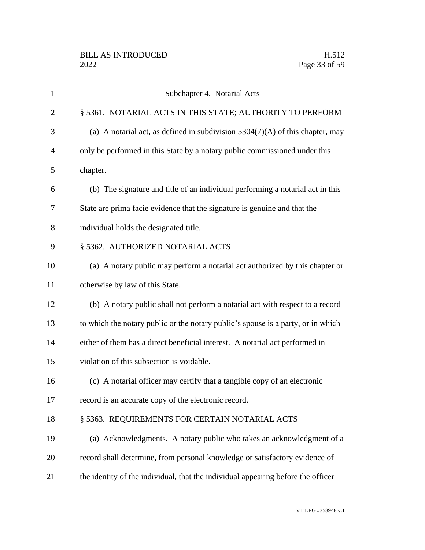| 1              | Subchapter 4. Notarial Acts                                                      |
|----------------|----------------------------------------------------------------------------------|
| $\overline{2}$ | § 5361. NOTARIAL ACTS IN THIS STATE; AUTHORITY TO PERFORM                        |
| 3              | (a) A notarial act, as defined in subdivision $5304(7)(A)$ of this chapter, may  |
| 4              | only be performed in this State by a notary public commissioned under this       |
| 5              | chapter.                                                                         |
| 6              | (b) The signature and title of an individual performing a notarial act in this   |
| 7              | State are prima facie evidence that the signature is genuine and that the        |
| 8              | individual holds the designated title.                                           |
| 9              | § 5362. AUTHORIZED NOTARIAL ACTS                                                 |
| 10             | (a) A notary public may perform a notarial act authorized by this chapter or     |
| 11             | otherwise by law of this State.                                                  |
| 12             | (b) A notary public shall not perform a notarial act with respect to a record    |
| 13             | to which the notary public or the notary public's spouse is a party, or in which |
| 14             | either of them has a direct beneficial interest. A notarial act performed in     |
| 15             | violation of this subsection is voidable.                                        |
| 16             | (c) A notarial officer may certify that a tangible copy of an electronic         |
| 17             | record is an accurate copy of the electronic record.                             |
| 18             | § 5363. REQUIREMENTS FOR CERTAIN NOTARIAL ACTS                                   |
| 19             | (a) Acknowledgments. A notary public who takes an acknowledgment of a            |
| 20             | record shall determine, from personal knowledge or satisfactory evidence of      |
| 21             | the identity of the individual, that the individual appearing before the officer |
|                |                                                                                  |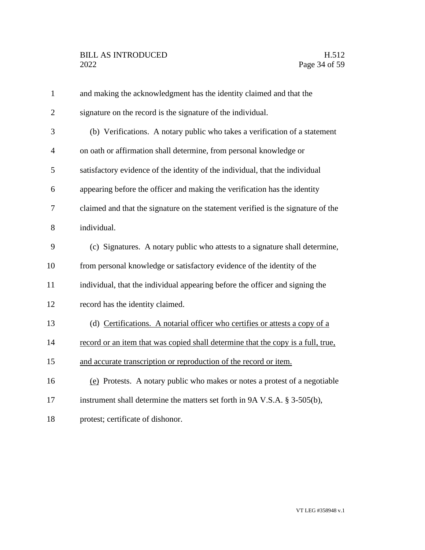| $\mathbf{1}$   | and making the acknowledgment has the identity claimed and that the              |
|----------------|----------------------------------------------------------------------------------|
| $\overline{2}$ | signature on the record is the signature of the individual.                      |
| 3              | (b) Verifications. A notary public who takes a verification of a statement       |
| 4              | on oath or affirmation shall determine, from personal knowledge or               |
| 5              | satisfactory evidence of the identity of the individual, that the individual     |
| 6              | appearing before the officer and making the verification has the identity        |
| 7              | claimed and that the signature on the statement verified is the signature of the |
| 8              | individual.                                                                      |
| 9              | (c) Signatures. A notary public who attests to a signature shall determine,      |
| 10             | from personal knowledge or satisfactory evidence of the identity of the          |
| 11             | individual, that the individual appearing before the officer and signing the     |
| 12             | record has the identity claimed.                                                 |
| 13             | (d) Certifications. A notarial officer who certifies or attests a copy of a      |
| 14             | record or an item that was copied shall determine that the copy is a full, true, |
| 15             | and accurate transcription or reproduction of the record or item.                |
| 16             | (e) Protests. A notary public who makes or notes a protest of a negotiable       |
| 17             | instrument shall determine the matters set forth in 9A V.S.A. § 3-505(b),        |
| 18             | protest; certificate of dishonor.                                                |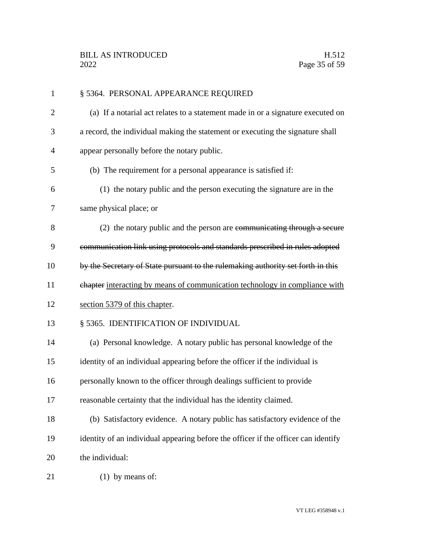| $\mathbf{1}$   | § 5364. PERSONAL APPEARANCE REQUIRED                                               |
|----------------|------------------------------------------------------------------------------------|
| $\overline{2}$ | (a) If a notarial act relates to a statement made in or a signature executed on    |
| 3              | a record, the individual making the statement or executing the signature shall     |
| 4              | appear personally before the notary public.                                        |
| 5              | (b) The requirement for a personal appearance is satisfied if:                     |
| 6              | (1) the notary public and the person executing the signature are in the            |
| 7              | same physical place; or                                                            |
| 8              | (2) the notary public and the person are communicating through a secure            |
| 9              | communication link using protocols and standards prescribed in rules adopted       |
| 10             | by the Secretary of State pursuant to the rulemaking authority set forth in this   |
| 11             | chapter interacting by means of communication technology in compliance with        |
| 12             | section 5379 of this chapter.                                                      |
| 13             | § 5365. IDENTIFICATION OF INDIVIDUAL                                               |
| 14             | (a) Personal knowledge. A notary public has personal knowledge of the              |
| 15             | identity of an individual appearing before the officer if the individual is        |
| 16             | personally known to the officer through dealings sufficient to provide             |
| 17             | reasonable certainty that the individual has the identity claimed.                 |
| 18             | (b) Satisfactory evidence. A notary public has satisfactory evidence of the        |
| 19             | identity of an individual appearing before the officer if the officer can identify |
| 20             | the individual:                                                                    |
| 21             | $(1)$ by means of:                                                                 |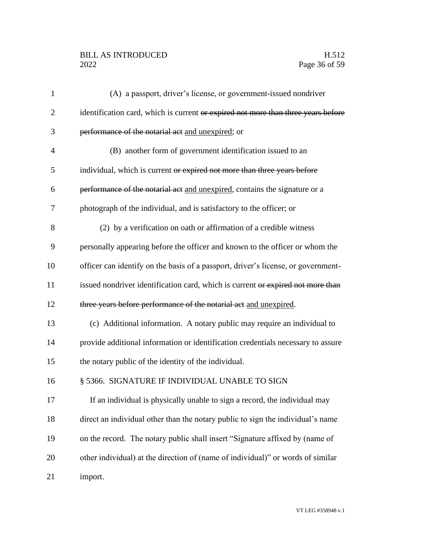# BILL AS INTRODUCED H.512<br>2022 Page 36 of 59

| 1              | (A) a passport, driver's license, or government-issued nondriver                  |
|----------------|-----------------------------------------------------------------------------------|
| $\overline{2}$ | identification card, which is current or expired not more than three years before |
| 3              | performance of the notarial act and unexpired; or                                 |
| 4              | (B) another form of government identification issued to an                        |
| 5              | individual, which is current or expired not more than three years before          |
| 6              | performance of the notarial act and unexpired, contains the signature or a        |
| 7              | photograph of the individual, and is satisfactory to the officer; or              |
| 8              | (2) by a verification on oath or affirmation of a credible witness                |
| 9              | personally appearing before the officer and known to the officer or whom the      |
| 10             | officer can identify on the basis of a passport, driver's license, or government- |
| 11             | issued nondriver identification card, which is current or expired not more than   |
| 12             | three years before performance of the notarial act and unexpired.                 |
| 13             | (c) Additional information. A notary public may require an individual to          |
| 14             | provide additional information or identification credentials necessary to assure  |
| 15             | the notary public of the identity of the individual.                              |
| 16             | § 5366. SIGNATURE IF INDIVIDUAL UNABLE TO SIGN                                    |
| 17             | If an individual is physically unable to sign a record, the individual may        |
| 18             | direct an individual other than the notary public to sign the individual's name   |
| 19             | on the record. The notary public shall insert "Signature affixed by (name of      |
| 20             | other individual) at the direction of (name of individual)" or words of similar   |
| 21             | import.                                                                           |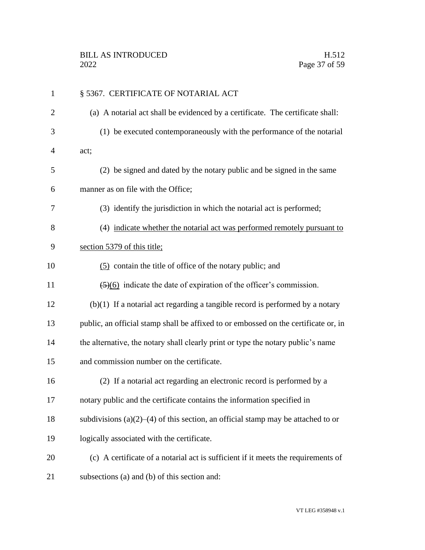| $\mathbf{1}$   | § 5367. CERTIFICATE OF NOTARIAL ACT                                                     |
|----------------|-----------------------------------------------------------------------------------------|
| $\overline{2}$ | (a) A notarial act shall be evidenced by a certificate. The certificate shall:          |
| 3              | (1) be executed contemporaneously with the performance of the notarial                  |
| 4              | act;                                                                                    |
| 5              | (2) be signed and dated by the notary public and be signed in the same                  |
| 6              | manner as on file with the Office;                                                      |
| 7              | (3) identify the jurisdiction in which the notarial act is performed;                   |
| 8              | (4) indicate whether the notarial act was performed remotely pursuant to                |
| 9              | section 5379 of this title;                                                             |
| 10             | (5) contain the title of office of the notary public; and                               |
| 11             | $\left(\frac{5}{6}\right)$ indicate the date of expiration of the officer's commission. |
| 12             | $(b)(1)$ If a notarial act regarding a tangible record is performed by a notary         |
| 13             | public, an official stamp shall be affixed to or embossed on the certificate or, in     |
| 14             | the alternative, the notary shall clearly print or type the notary public's name        |
| 15             | and commission number on the certificate.                                               |
| 16             | (2) If a notarial act regarding an electronic record is performed by a                  |
| 17             | notary public and the certificate contains the information specified in                 |
| 18             | subdivisions (a) $(2)$ – $(4)$ of this section, an official stamp may be attached to or |
| 19             | logically associated with the certificate.                                              |
| 20             | (c) A certificate of a notarial act is sufficient if it meets the requirements of       |
| 21             | subsections (a) and (b) of this section and:                                            |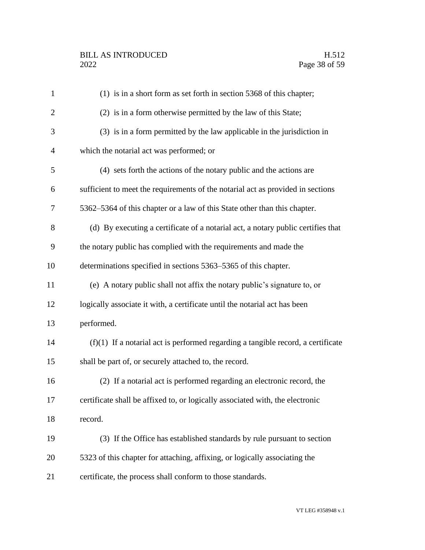| $\mathbf{1}$   | $(1)$ is in a short form as set forth in section 5368 of this chapter;             |
|----------------|------------------------------------------------------------------------------------|
| $\overline{2}$ | (2) is in a form otherwise permitted by the law of this State;                     |
| 3              | (3) is in a form permitted by the law applicable in the jurisdiction in            |
| $\overline{4}$ | which the notarial act was performed; or                                           |
| 5              | (4) sets forth the actions of the notary public and the actions are                |
| 6              | sufficient to meet the requirements of the notarial act as provided in sections    |
| 7              | 5362–5364 of this chapter or a law of this State other than this chapter.          |
| 8              | (d) By executing a certificate of a notarial act, a notary public certifies that   |
| 9              | the notary public has complied with the requirements and made the                  |
| 10             | determinations specified in sections 5363–5365 of this chapter.                    |
| 11             | (e) A notary public shall not affix the notary public's signature to, or           |
| 12             | logically associate it with, a certificate until the notarial act has been         |
| 13             | performed.                                                                         |
| 14             | $(f)(1)$ If a notarial act is performed regarding a tangible record, a certificate |
| 15             | shall be part of, or securely attached to, the record.                             |
| 16             | (2) If a notarial act is performed regarding an electronic record, the             |
| 17             | certificate shall be affixed to, or logically associated with, the electronic      |
| 18             | record.                                                                            |
| 19             | (3) If the Office has established standards by rule pursuant to section            |
| 20             | 5323 of this chapter for attaching, affixing, or logically associating the         |
| 21             | certificate, the process shall conform to those standards.                         |
|                |                                                                                    |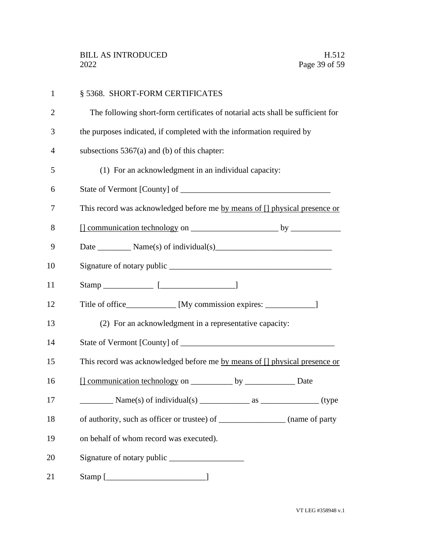| $\mathbf{1}$   | § 5368. SHORT-FORM CERTIFICATES                                                                                                                          |
|----------------|----------------------------------------------------------------------------------------------------------------------------------------------------------|
| $\overline{2}$ | The following short-form certificates of notarial acts shall be sufficient for                                                                           |
| 3              | the purposes indicated, if completed with the information required by                                                                                    |
| $\overline{4}$ | subsections $5367(a)$ and (b) of this chapter:                                                                                                           |
| 5              | (1) For an acknowledgment in an individual capacity:                                                                                                     |
| 6              |                                                                                                                                                          |
| 7              | This record was acknowledged before me by means of [] physical presence or                                                                               |
| 8              |                                                                                                                                                          |
| 9              |                                                                                                                                                          |
| 10             |                                                                                                                                                          |
| 11             |                                                                                                                                                          |
| 12             | Title of office____________ [My commission expires: ______________]                                                                                      |
| 13             | (2) For an acknowledgment in a representative capacity:                                                                                                  |
| 14             |                                                                                                                                                          |
| 15             | This record was acknowledged before me by means of [] physical presence or                                                                               |
| 16             |                                                                                                                                                          |
| 17             | $\frac{1}{\sqrt{1-\frac{1}{2}}}\text{Name(s) of individual(s)}$ $\frac{1}{\sqrt{1-\frac{1}{2}}}\text{ as } \frac{1}{\sqrt{1-\frac{1}{2}}}\text{ (type)}$ |
| 18             | of authority, such as officer or trustee) of __________________ (name of party                                                                           |
| 19             | on behalf of whom record was executed).                                                                                                                  |
| 20             |                                                                                                                                                          |
| 21             |                                                                                                                                                          |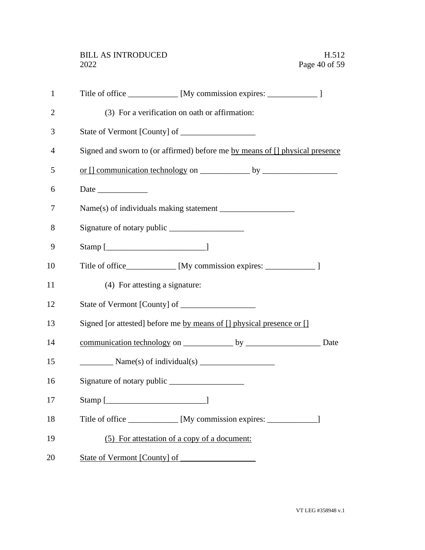| $\mathbf{1}$   | Title of office ___________ [My commission expires: ______________ ]         |
|----------------|------------------------------------------------------------------------------|
| $\overline{2}$ | (3) For a verification on oath or affirmation:                               |
| 3              |                                                                              |
| 4              | Signed and sworn to (or affirmed) before me by means of [] physical presence |
| 5              |                                                                              |
| 6              |                                                                              |
| 7              |                                                                              |
| 8              |                                                                              |
| 9              |                                                                              |
| 10             | Title of office____________ [My commission expires: _______________ ]        |
| 11             | (4) For attesting a signature:                                               |
| 12             |                                                                              |
| 13             | Signed [or attested] before me by means of [] physical presence or []        |
| 14             |                                                                              |
| 15             |                                                                              |
| 16             |                                                                              |
| 17             |                                                                              |
| 18             | Title of office ____________ [My commission expires: _______________]        |
| 19             | (5) For attestation of a copy of a document:                                 |
| 20             | State of Vermont [County] of                                                 |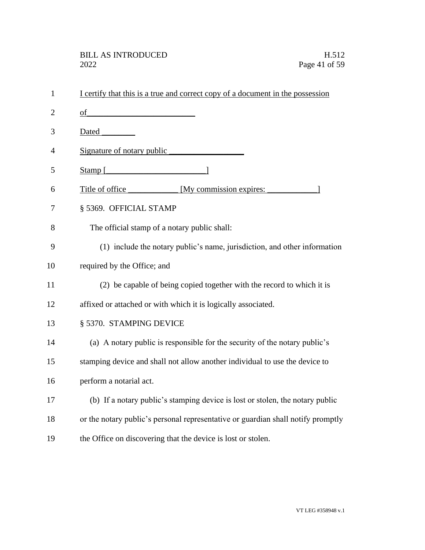| $\mathbf{1}$   | I certify that this is a true and correct copy of a document in the possession   |
|----------------|----------------------------------------------------------------------------------|
| $\overline{2}$ | of                                                                               |
| 3              | Dated                                                                            |
| 4              | Signature of notary public                                                       |
| 5              | Stamp $\lceil$                                                                   |
| 6              | Title of office My commission expires:                                           |
| 7              | § 5369. OFFICIAL STAMP                                                           |
| 8              | The official stamp of a notary public shall:                                     |
| 9              | (1) include the notary public's name, jurisdiction, and other information        |
| 10             | required by the Office; and                                                      |
| 11             | (2) be capable of being copied together with the record to which it is           |
| 12             | affixed or attached or with which it is logically associated.                    |
| 13             | § 5370. STAMPING DEVICE                                                          |
| 14             | (a) A notary public is responsible for the security of the notary public's       |
| 15             | stamping device and shall not allow another individual to use the device to      |
| 16             | perform a notarial act.                                                          |
| 17             | (b) If a notary public's stamping device is lost or stolen, the notary public    |
| 18             | or the notary public's personal representative or guardian shall notify promptly |
| 19             | the Office on discovering that the device is lost or stolen.                     |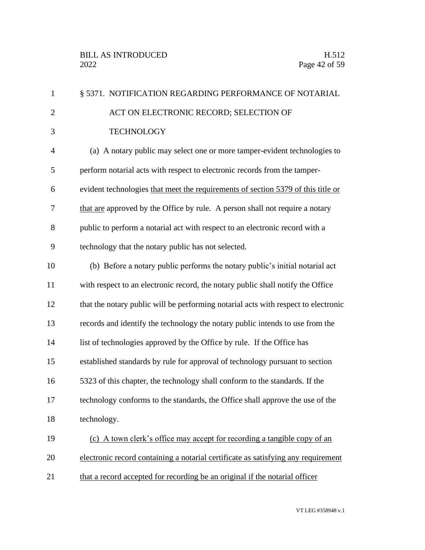| $\mathbf{1}$   | § 5371. NOTIFICATION REGARDING PERFORMANCE OF NOTARIAL                             |
|----------------|------------------------------------------------------------------------------------|
| $\overline{2}$ | ACT ON ELECTRONIC RECORD; SELECTION OF                                             |
| 3              | <b>TECHNOLOGY</b>                                                                  |
| $\overline{4}$ | (a) A notary public may select one or more tamper-evident technologies to          |
| 5              | perform notarial acts with respect to electronic records from the tamper-          |
| 6              | evident technologies that meet the requirements of section 5379 of this title or   |
| $\overline{7}$ | that are approved by the Office by rule. A person shall not require a notary       |
| 8              | public to perform a notarial act with respect to an electronic record with a       |
| 9              | technology that the notary public has not selected.                                |
| 10             | (b) Before a notary public performs the notary public's initial notarial act       |
| 11             | with respect to an electronic record, the notary public shall notify the Office    |
| 12             | that the notary public will be performing notarial acts with respect to electronic |
| 13             | records and identify the technology the notary public intends to use from the      |
| 14             | list of technologies approved by the Office by rule. If the Office has             |
| 15             | established standards by rule for approval of technology pursuant to section       |
| 16             | 5323 of this chapter, the technology shall conform to the standards. If the        |
| 17             | technology conforms to the standards, the Office shall approve the use of the      |
| 18             | technology.                                                                        |
| 19             | (c) A town clerk's office may accept for recording a tangible copy of an           |
| 20             | electronic record containing a notarial certificate as satisfying any requirement  |
| 21             | that a record accepted for recording be an original if the notarial officer        |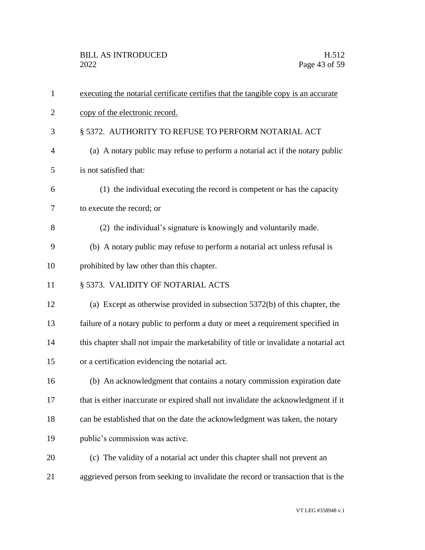| $\mathbf{1}$   | executing the notarial certificate certifies that the tangible copy is an accurate    |
|----------------|---------------------------------------------------------------------------------------|
| $\overline{2}$ | copy of the electronic record.                                                        |
| 3              | § 5372. AUTHORITY TO REFUSE TO PERFORM NOTARIAL ACT                                   |
| $\overline{4}$ | (a) A notary public may refuse to perform a notarial act if the notary public         |
| 5              | is not satisfied that:                                                                |
| 6              | (1) the individual executing the record is competent or has the capacity              |
| 7              | to execute the record; or                                                             |
| 8              | (2) the individual's signature is knowingly and voluntarily made.                     |
| 9              | (b) A notary public may refuse to perform a notarial act unless refusal is            |
| 10             | prohibited by law other than this chapter.                                            |
| 11             | § 5373. VALIDITY OF NOTARIAL ACTS                                                     |
| 12             | (a) Except as otherwise provided in subsection $5372(b)$ of this chapter, the         |
| 13             | failure of a notary public to perform a duty or meet a requirement specified in       |
| 14             | this chapter shall not impair the marketability of title or invalidate a notarial act |
| 15             | or a certification evidencing the notarial act.                                       |
| 16             | (b) An acknowledgment that contains a notary commission expiration date               |
| 17             | that is either inaccurate or expired shall not invalidate the acknowledgment if it    |
| 18             | can be established that on the date the acknowledgment was taken, the notary          |
| 19             | public's commission was active.                                                       |
| 20             | (c) The validity of a notarial act under this chapter shall not prevent an            |
| 21             | aggrieved person from seeking to invalidate the record or transaction that is the     |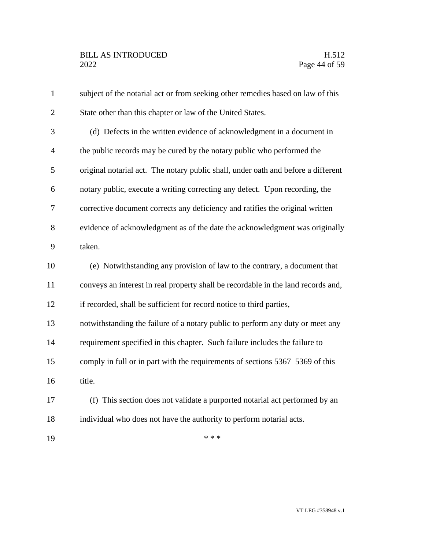| $\mathbf{1}$   | subject of the notarial act or from seeking other remedies based on law of this   |
|----------------|-----------------------------------------------------------------------------------|
| $\overline{2}$ | State other than this chapter or law of the United States.                        |
| 3              | (d) Defects in the written evidence of acknowledgment in a document in            |
| $\overline{4}$ | the public records may be cured by the notary public who performed the            |
| 5              | original notarial act. The notary public shall, under oath and before a different |
| 6              | notary public, execute a writing correcting any defect. Upon recording, the       |
| 7              | corrective document corrects any deficiency and ratifies the original written     |
| 8              | evidence of acknowledgment as of the date the acknowledgment was originally       |
| 9              | taken.                                                                            |
| 10             | (e) Notwithstanding any provision of law to the contrary, a document that         |
| 11             | conveys an interest in real property shall be recordable in the land records and, |
| 12             | if recorded, shall be sufficient for record notice to third parties,              |
| 13             | notwithstanding the failure of a notary public to perform any duty or meet any    |
| 14             | requirement specified in this chapter. Such failure includes the failure to       |
| 15             | comply in full or in part with the requirements of sections 5367–5369 of this     |
| 16             | title.                                                                            |
| 17             | (f) This section does not validate a purported notarial act performed by an       |
| 18             | individual who does not have the authority to perform notarial acts.              |
| 19             | * * *                                                                             |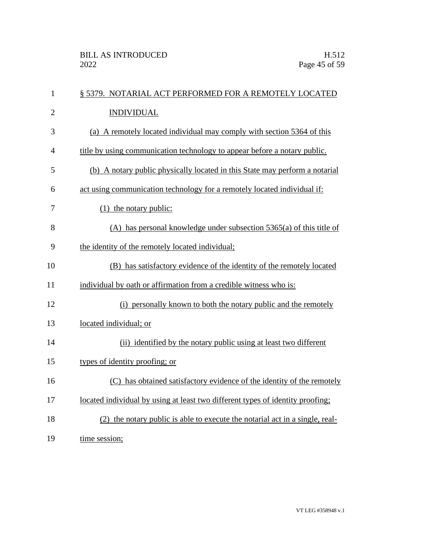| $\mathbf{1}$   | § 5379. NOTARIAL ACT PERFORMED FOR A REMOTELY LOCATED                          |
|----------------|--------------------------------------------------------------------------------|
| $\overline{2}$ | <b>INDIVIDUAL</b>                                                              |
| 3              | (a) A remotely located individual may comply with section 5364 of this         |
| $\overline{4}$ | title by using communication technology to appear before a notary public.      |
| 5              | (b) A notary public physically located in this State may perform a notarial    |
| 6              | act using communication technology for a remotely located individual if:       |
| 7              | $(1)$ the notary public:                                                       |
| 8              | $(A)$ has personal knowledge under subsection 5365(a) of this title of         |
| 9              | the identity of the remotely located individual;                               |
| 10             | (B) has satisfactory evidence of the identity of the remotely located          |
| 11             | individual by oath or affirmation from a credible witness who is:              |
| 12             | (i) personally known to both the notary public and the remotely                |
| 13             | located individual; or                                                         |
| 14             | (ii) identified by the notary public using at least two different              |
| 15             | types of identity proofing; or                                                 |
| 16             | (C) has obtained satisfactory evidence of the identity of the remotely         |
| 17             | located individual by using at least two different types of identity proofing; |
| 18             | (2) the notary public is able to execute the notarial act in a single, real-   |
| 19             | time session;                                                                  |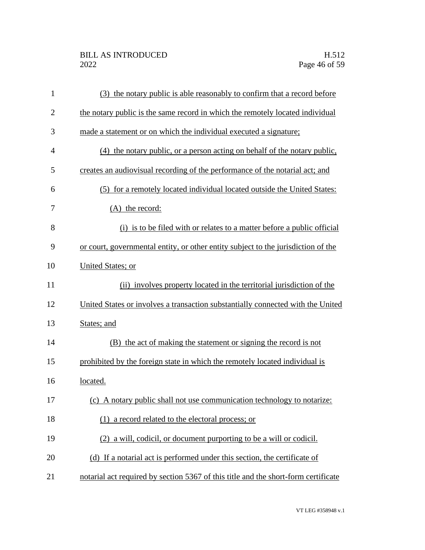| $\mathbf{1}$   | (3) the notary public is able reasonably to confirm that a record before           |
|----------------|------------------------------------------------------------------------------------|
| $\overline{2}$ | the notary public is the same record in which the remotely located individual      |
| 3              | made a statement or on which the individual executed a signature;                  |
| $\overline{4}$ | (4) the notary public, or a person acting on behalf of the notary public,          |
| 5              | creates an audiovisual recording of the performance of the notarial act; and       |
| 6              | (5) for a remotely located individual located outside the United States:           |
| 7              | $(A)$ the record:                                                                  |
| 8              | (i) is to be filed with or relates to a matter before a public official            |
| 9              | or court, governmental entity, or other entity subject to the jurisdiction of the  |
| 10             | United States; or                                                                  |
| 11             | (ii) involves property located in the territorial jurisdiction of the              |
| 12             | United States or involves a transaction substantially connected with the United    |
| 13             | States; and                                                                        |
| 14             | (B) the act of making the statement or signing the record is not                   |
| 15             | prohibited by the foreign state in which the remotely located individual is        |
| 16             | located.                                                                           |
| 17             | (c) A notary public shall not use communication technology to notarize:            |
| 18             | (1) a record related to the electoral process; or                                  |
| 19             | (2) a will, codicil, or document purporting to be a will or codicil.               |
| 20             | (d) If a notarial act is performed under this section, the certificate of          |
| 21             | notarial act required by section 5367 of this title and the short-form certificate |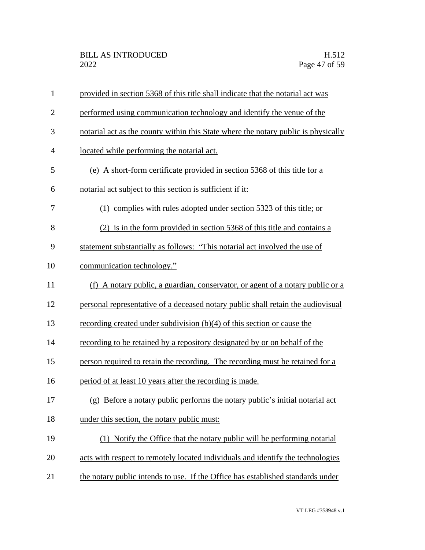| $\mathbf{1}$   | provided in section 5368 of this title shall indicate that the notarial act was    |
|----------------|------------------------------------------------------------------------------------|
| $\mathbf{2}$   | performed using communication technology and identify the venue of the             |
| 3              | notarial act as the county within this State where the notary public is physically |
| $\overline{4}$ | located while performing the notarial act.                                         |
| 5              | (e) A short-form certificate provided in section 5368 of this title for a          |
| 6              | notarial act subject to this section is sufficient if it:                          |
| 7              | (1) complies with rules adopted under section 5323 of this title; or               |
| 8              | (2) is in the form provided in section 5368 of this title and contains a           |
| 9              | statement substantially as follows: "This notarial act involved the use of         |
| 10             | communication technology."                                                         |
| 11             | (f) A notary public, a guardian, conservator, or agent of a notary public or a     |
| 12             | personal representative of a deceased notary public shall retain the audiovisual   |
| 13             | recording created under subdivision $(b)(4)$ of this section or cause the          |
| 14             | recording to be retained by a repository designated by or on behalf of the         |
| 15             | person required to retain the recording. The recording must be retained for a      |
| 16             | period of at least 10 years after the recording is made.                           |
| 17             | (g) Before a notary public performs the notary public's initial notarial act       |
| 18             | under this section, the notary public must:                                        |
| 19             | (1) Notify the Office that the notary public will be performing notarial           |
| 20             | acts with respect to remotely located individuals and identify the technologies    |
| 21             | the notary public intends to use. If the Office has established standards under    |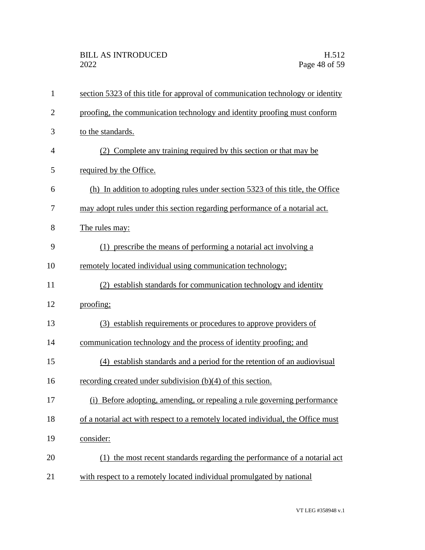| $\mathbf{1}$   | section 5323 of this title for approval of communication technology or identity  |
|----------------|----------------------------------------------------------------------------------|
| $\overline{2}$ | proofing, the communication technology and identity proofing must conform        |
| 3              | to the standards.                                                                |
| 4              | (2) Complete any training required by this section or that may be                |
| 5              | required by the Office.                                                          |
| 6              | (h) In addition to adopting rules under section 5323 of this title, the Office   |
| 7              | may adopt rules under this section regarding performance of a notarial act.      |
| 8              | The rules may:                                                                   |
| 9              | (1) prescribe the means of performing a notarial act involving a                 |
| 10             | remotely located individual using communication technology;                      |
| 11             | (2) establish standards for communication technology and identity                |
| 12             | proofing;                                                                        |
| 13             | (3) establish requirements or procedures to approve providers of                 |
| 14             | communication technology and the process of identity proofing; and               |
| 15             | (4) establish standards and a period for the retention of an audiovisual         |
| 16             | recording created under subdivision $(b)(4)$ of this section.                    |
| 17             | (i) Before adopting, amending, or repealing a rule governing performance         |
| 18             | of a notarial act with respect to a remotely located individual, the Office must |
| 19             | consider:                                                                        |
| 20             | (1) the most recent standards regarding the performance of a notarial act        |
| 21             | with respect to a remotely located individual promulgated by national            |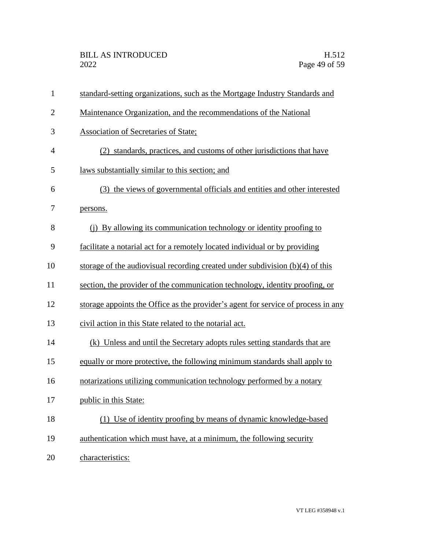| $\mathbf{1}$   | standard-setting organizations, such as the Mortgage Industry Standards and       |
|----------------|-----------------------------------------------------------------------------------|
| $\overline{2}$ | Maintenance Organization, and the recommendations of the National                 |
| 3              | <b>Association of Secretaries of State;</b>                                       |
| $\overline{4}$ | (2) standards, practices, and customs of other jurisdictions that have            |
| 5              | laws substantially similar to this section; and                                   |
| 6              | (3) the views of governmental officials and entities and other interested         |
| 7              | persons.                                                                          |
| 8              | (i) By allowing its communication technology or identity proofing to              |
| 9              | facilitate a notarial act for a remotely located individual or by providing       |
| 10             | storage of the audiovisual recording created under subdivision $(b)(4)$ of this   |
| 11             | section, the provider of the communication technology, identity proofing, or      |
| 12             | storage appoints the Office as the provider's agent for service of process in any |
| 13             | civil action in this State related to the notarial act.                           |
| 14             | (k) Unless and until the Secretary adopts rules setting standards that are        |
| 15             | equally or more protective, the following minimum standards shall apply to        |
| 16             | notarizations utilizing communication technology performed by a notary            |
| 17             | public in this State:                                                             |
| 18             | (1) Use of identity proofing by means of dynamic knowledge-based                  |
| 19             | authentication which must have, at a minimum, the following security              |
| 20             | characteristics:                                                                  |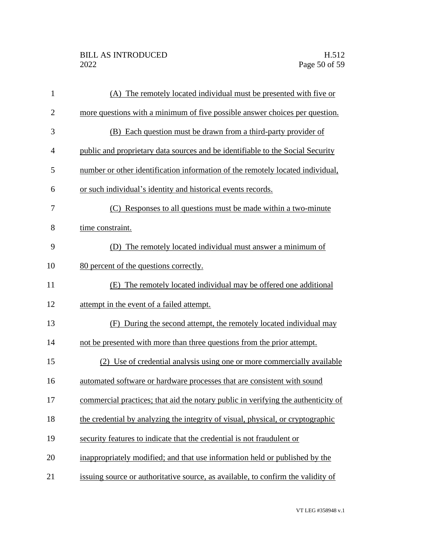| $\mathbf{1}$   | (A) The remotely located individual must be presented with five or                |
|----------------|-----------------------------------------------------------------------------------|
| $\mathbf{2}$   | more questions with a minimum of five possible answer choices per question.       |
| 3              | (B) Each question must be drawn from a third-party provider of                    |
| $\overline{4}$ | public and proprietary data sources and be identifiable to the Social Security    |
| 5              | number or other identification information of the remotely located individual,    |
| 6              | or such individual's identity and historical events records.                      |
| 7              | (C) Responses to all questions must be made within a two-minute                   |
| 8              | time constraint.                                                                  |
| 9              | The remotely located individual must answer a minimum of<br>(D)                   |
| 10             | 80 percent of the questions correctly.                                            |
| 11             | (E) The remotely located individual may be offered one additional                 |
| 12             | attempt in the event of a failed attempt.                                         |
| 13             | (F) During the second attempt, the remotely located individual may                |
| 14             | not be presented with more than three questions from the prior attempt.           |
| 15             | (2) Use of credential analysis using one or more commercially available           |
| 16             | automated software or hardware processes that are consistent with sound           |
| 17             | commercial practices; that aid the notary public in verifying the authenticity of |
| 18             | the credential by analyzing the integrity of visual, physical, or cryptographic   |
| 19             | security features to indicate that the credential is not fraudulent or            |
| 20             | inappropriately modified; and that use information held or published by the       |
| 21             | issuing source or authoritative source, as available, to confirm the validity of  |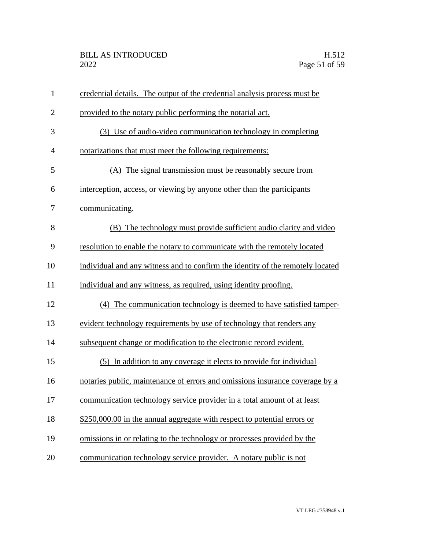| $\mathbf{1}$   | credential details. The output of the credential analysis process must be      |
|----------------|--------------------------------------------------------------------------------|
| $\overline{2}$ | provided to the notary public performing the notarial act.                     |
| 3              | (3) Use of audio-video communication technology in completing                  |
| $\overline{4}$ | notarizations that must meet the following requirements:                       |
| 5              | (A) The signal transmission must be reasonably secure from                     |
| 6              | interception, access, or viewing by anyone other than the participants         |
| 7              | communicating.                                                                 |
| 8              | (B) The technology must provide sufficient audio clarity and video             |
| 9              | resolution to enable the notary to communicate with the remotely located       |
| 10             | individual and any witness and to confirm the identity of the remotely located |
| 11             | individual and any witness, as required, using identity proofing.              |
| 12             | (4) The communication technology is deemed to have satisfied tamper-           |
| 13             | evident technology requirements by use of technology that renders any          |
| 14             | subsequent change or modification to the electronic record evident.            |
| 15             | (5) In addition to any coverage it elects to provide for individual            |
| 16             | notaries public, maintenance of errors and omissions insurance coverage by a   |
| 17             | communication technology service provider in a total amount of at least        |
| 18             | \$250,000.00 in the annual aggregate with respect to potential errors or       |
| 19             | omissions in or relating to the technology or processes provided by the        |
| 20             | communication technology service provider. A notary public is not              |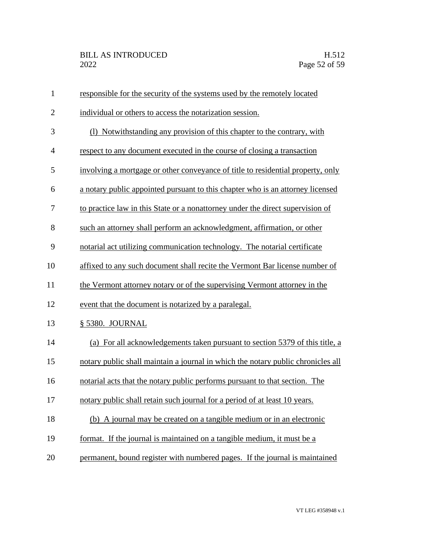| $\mathbf{1}$   | responsible for the security of the systems used by the remotely located         |
|----------------|----------------------------------------------------------------------------------|
| $\overline{2}$ | individual or others to access the notarization session.                         |
| 3              | (1) Notwithstanding any provision of this chapter to the contrary, with          |
| $\overline{4}$ | respect to any document executed in the course of closing a transaction          |
| 5              | involving a mortgage or other conveyance of title to residential property, only  |
| 6              | a notary public appointed pursuant to this chapter who is an attorney licensed   |
| 7              | to practice law in this State or a nonattorney under the direct supervision of   |
| 8              | such an attorney shall perform an acknowledgment, affirmation, or other          |
| 9              | notarial act utilizing communication technology. The notarial certificate        |
| 10             | affixed to any such document shall recite the Vermont Bar license number of      |
| 11             | the Vermont attorney notary or of the supervising Vermont attorney in the        |
| 12             | event that the document is notarized by a paralegal.                             |
| 13             | § 5380. JOURNAL                                                                  |
| 14             | (a) For all acknowledgements taken pursuant to section 5379 of this title, a     |
| 15             | notary public shall maintain a journal in which the notary public chronicles all |
| 16             | notarial acts that the notary public performs pursuant to that section. The      |
| 17             | notary public shall retain such journal for a period of at least 10 years.       |
| 18             | (b) A journal may be created on a tangible medium or in an electronic            |
| 19             | format. If the journal is maintained on a tangible medium, it must be a          |
| 20             | permanent, bound register with numbered pages. If the journal is maintained      |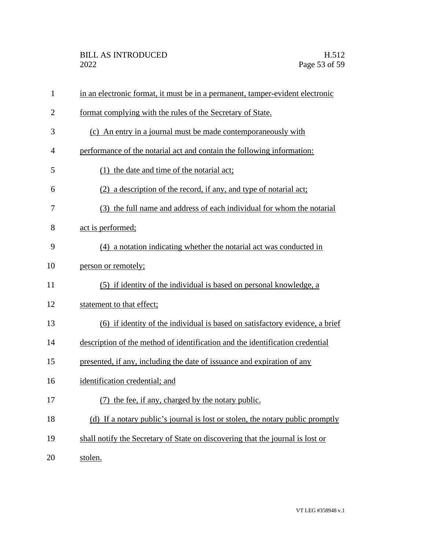| $\mathbf{1}$   | in an electronic format, it must be in a permanent, tamper-evident electronic  |
|----------------|--------------------------------------------------------------------------------|
| $\overline{2}$ | format complying with the rules of the Secretary of State.                     |
| 3              | (c) An entry in a journal must be made contemporaneously with                  |
| 4              | performance of the notarial act and contain the following information:         |
| 5              | (1) the date and time of the notarial act;                                     |
| 6              | (2) a description of the record, if any, and type of notarial act;             |
| 7              | (3) the full name and address of each individual for whom the notarial         |
| 8              | act is performed;                                                              |
| 9              | (4) a notation indicating whether the notarial act was conducted in            |
| 10             | person or remotely;                                                            |
| 11             | (5) if identity of the individual is based on personal knowledge, a            |
| 12             | statement to that effect;                                                      |
| 13             | (6) if identity of the individual is based on satisfactory evidence, a brief   |
| 14             | description of the method of identification and the identification credential  |
| 15             | presented, if any, including the date of issuance and expiration of any        |
| 16             | identification credential; and                                                 |
| 17             | (7) the fee, if any, charged by the notary public.                             |
| 18             | (d) If a notary public's journal is lost or stolen, the notary public promptly |
| 19             | shall notify the Secretary of State on discovering that the journal is lost or |
| 20             | stolen.                                                                        |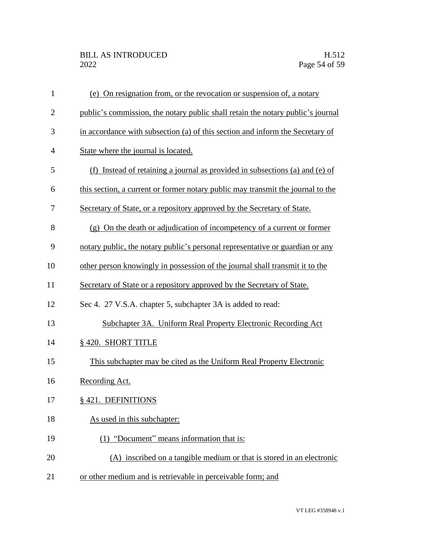| $\mathbf{1}$   | (e) On resignation from, or the revocation or suspension of, a notary           |
|----------------|---------------------------------------------------------------------------------|
| $\overline{2}$ | public's commission, the notary public shall retain the notary public's journal |
| 3              | in accordance with subsection (a) of this section and inform the Secretary of   |
| $\overline{4}$ | State where the journal is located.                                             |
| 5              | Instead of retaining a journal as provided in subsections (a) and (e) of<br>(f) |
| 6              | this section, a current or former notary public may transmit the journal to the |
| 7              | Secretary of State, or a repository approved by the Secretary of State.         |
| 8              | (g) On the death or adjudication of incompetency of a current or former         |
| 9              | notary public, the notary public's personal representative or guardian or any   |
| 10             | other person knowingly in possession of the journal shall transmit it to the    |
| 11             | Secretary of State or a repository approved by the Secretary of State.          |
| 12             | Sec 4. 27 V.S.A. chapter 5, subchapter 3A is added to read:                     |
| 13             | Subchapter 3A. Uniform Real Property Electronic Recording Act                   |
| 14             | § 420. SHORT TITLE                                                              |
| 15             | This subchapter may be cited as the Uniform Real Property Electronic            |
| 16             | Recording Act.                                                                  |
| 17             | § 421. DEFINITIONS                                                              |
| 18             | As used in this subchapter:                                                     |
| 19             | (1) "Document" means information that is:                                       |
| 20             | (A) inscribed on a tangible medium or that is stored in an electronic           |
| 21             | or other medium and is retrievable in perceivable form; and                     |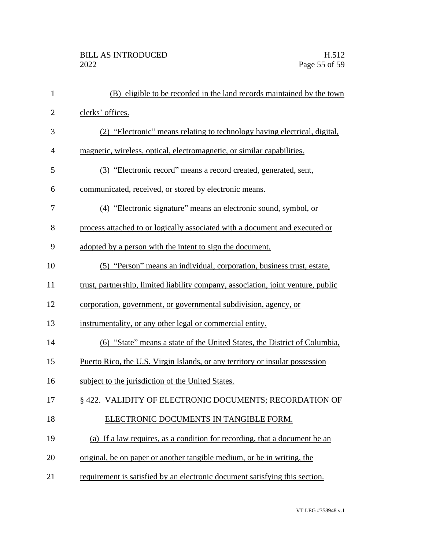| $\mathbf{1}$   | (B) eligible to be recorded in the land records maintained by the town            |
|----------------|-----------------------------------------------------------------------------------|
| $\overline{2}$ | clerks' offices.                                                                  |
| 3              | (2) "Electronic" means relating to technology having electrical, digital,         |
| $\overline{4}$ | magnetic, wireless, optical, electromagnetic, or similar capabilities.            |
| 5              | (3) "Electronic record" means a record created, generated, sent,                  |
| 6              | communicated, received, or stored by electronic means.                            |
| 7              | (4) "Electronic signature" means an electronic sound, symbol, or                  |
| 8              | process attached to or logically associated with a document and executed or       |
| 9              | adopted by a person with the intent to sign the document.                         |
| 10             | (5) "Person" means an individual, corporation, business trust, estate,            |
| 11             | trust, partnership, limited liability company, association, joint venture, public |
| 12             | corporation, government, or governmental subdivision, agency, or                  |
| 13             | instrumentality, or any other legal or commercial entity.                         |
| 14             | (6) "State" means a state of the United States, the District of Columbia,         |
| 15             | Puerto Rico, the U.S. Virgin Islands, or any territory or insular possession      |
| 16             | subject to the jurisdiction of the United States.                                 |
| 17             | § 422. VALIDITY OF ELECTRONIC DOCUMENTS; RECORDATION OF                           |
| 18             | ELECTRONIC DOCUMENTS IN TANGIBLE FORM.                                            |
| 19             | (a) If a law requires, as a condition for recording, that a document be an        |
| 20             | original, be on paper or another tangible medium, or be in writing, the           |
| 21             | requirement is satisfied by an electronic document satisfying this section.       |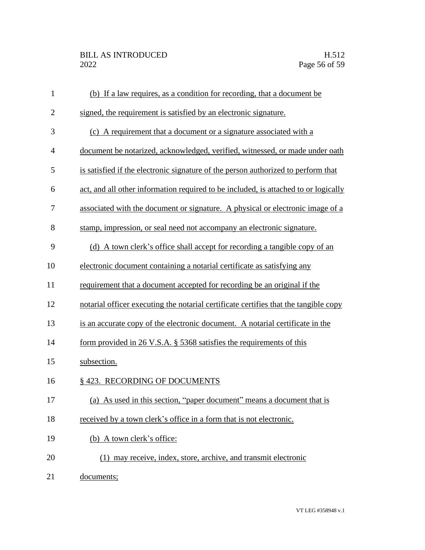| $\mathbf{1}$   | (b) If a law requires, as a condition for recording, that a document be              |
|----------------|--------------------------------------------------------------------------------------|
| $\overline{2}$ | signed, the requirement is satisfied by an electronic signature.                     |
| 3              | (c) A requirement that a document or a signature associated with a                   |
| 4              | document be notarized, acknowledged, verified, witnessed, or made under oath         |
| 5              | is satisfied if the electronic signature of the person authorized to perform that    |
| 6              | act, and all other information required to be included, is attached to or logically  |
| 7              | associated with the document or signature. A physical or electronic image of a       |
| 8              | stamp, impression, or seal need not accompany an electronic signature.               |
| 9              | (d) A town clerk's office shall accept for recording a tangible copy of an           |
| 10             | electronic document containing a notarial certificate as satisfying any              |
| 11             | requirement that a document accepted for recording be an original if the             |
| 12             | notarial officer executing the notarial certificate certifies that the tangible copy |
| 13             | is an accurate copy of the electronic document. A notarial certificate in the        |
| 14             | form provided in $26$ V.S.A. § 5368 satisfies the requirements of this               |
| 15             | subsection.                                                                          |
| 16             | § 423. RECORDING OF DOCUMENTS                                                        |
| 17             | (a) As used in this section, "paper document" means a document that is               |
| 18             | received by a town clerk's office in a form that is not electronic.                  |
| 19             | (b) A town clerk's office:                                                           |
| 20             | (1) may receive, index, store, archive, and transmit electronic                      |
| 21             | documents;                                                                           |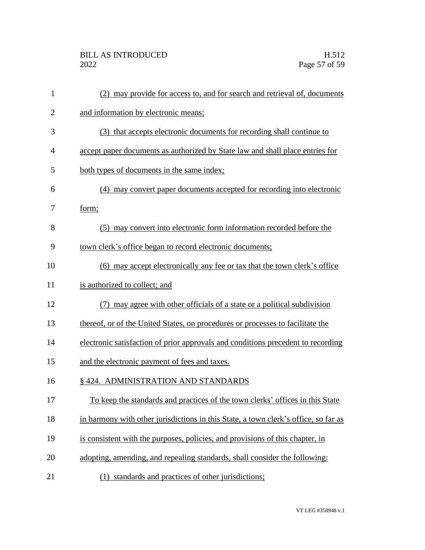| $\mathbf{1}$   | may provide for access to, and for search and retrieval of, documents               |
|----------------|-------------------------------------------------------------------------------------|
| $\overline{2}$ | and information by electronic means;                                                |
| 3              | (3) that accepts electronic documents for recording shall continue to               |
| 4              | accept paper documents as authorized by State law and shall place entries for       |
| 5              | both types of documents in the same index;                                          |
| 6              | (4) may convert paper documents accepted for recording into electronic              |
| 7              | form;                                                                               |
| 8              | (5) may convert into electronic form information recorded before the                |
| 9              | town clerk's office began to record electronic documents;                           |
| 10             | (6) may accept electronically any fee or tax that the town clerk's office           |
| 11             | is authorized to collect; and                                                       |
| 12             | may agree with other officials of a state or a political subdivision                |
| 13             | thereof, or of the United States, on procedures or processes to facilitate the      |
| 14             | electronic satisfaction of prior approvals and conditions precedent to recording    |
| 15             | and the electronic payment of fees and taxes.                                       |
| 16             | § 424. ADMINISTRATION AND STANDARDS                                                 |
| 17             | To keep the standards and practices of the town clerks' offices in this State       |
| 18             | in harmony with other jurisdictions in this State, a town clerk's office, so far as |
| 19             | is consistent with the purposes, policies, and provisions of this chapter, in       |
| 20             | adopting, amending, and repealing standards, shall consider the following:          |
| 21             | (1) standards and practices of other jurisdictions;                                 |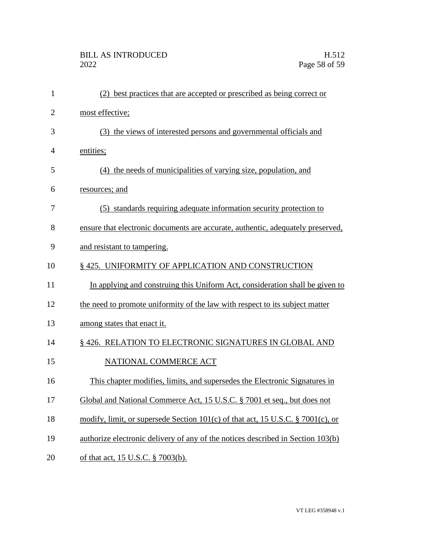| $\mathbf{1}$   | (2) best practices that are accepted or prescribed as being correct or          |
|----------------|---------------------------------------------------------------------------------|
| $\overline{2}$ | most effective;                                                                 |
| 3              | (3) the views of interested persons and governmental officials and              |
| $\overline{4}$ | entities;                                                                       |
| 5              | (4) the needs of municipalities of varying size, population, and                |
| 6              | resources; and                                                                  |
| 7              | (5) standards requiring adequate information security protection to             |
| 8              | ensure that electronic documents are accurate, authentic, adequately preserved, |
| 9              | and resistant to tampering.                                                     |
| 10             | §425. UNIFORMITY OF APPLICATION AND CONSTRUCTION                                |
| 11             | In applying and construing this Uniform Act, consideration shall be given to    |
| 12             | the need to promote uniformity of the law with respect to its subject matter    |
| 13             | among states that enact it.                                                     |
| 14             | § 426. RELATION TO ELECTRONIC SIGNATURES IN GLOBAL AND                          |
| 15             | NATIONAL COMMERCE ACT                                                           |
| 16             | This chapter modifies, limits, and supersedes the Electronic Signatures in      |
| 17             | Global and National Commerce Act, 15 U.S.C. § 7001 et seq., but does not        |
| 18             | modify, limit, or supersede Section 101(c) of that act, 15 U.S.C. § 7001(c), or |
| 19             | authorize electronic delivery of any of the notices described in Section 103(b) |
| 20             | of that act, 15 U.S.C. § 7003(b).                                               |